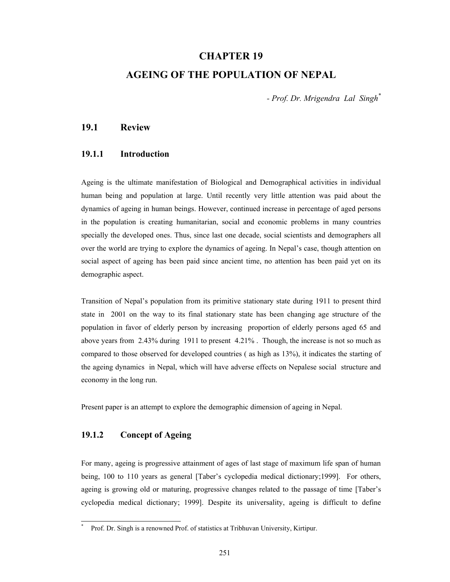## **CHAPTER 19**

## **AGEING OF THE POPULATION OF NEPAL**

*- Prof. Dr. Mrigendra Lal Singh\**

## **19.1 Review**

### **19.1.1 Introduction**

Ageing is the ultimate manifestation of Biological and Demographical activities in individual human being and population at large. Until recently very little attention was paid about the dynamics of ageing in human beings. However, continued increase in percentage of aged persons in the population is creating humanitarian, social and economic problems in many countries specially the developed ones. Thus, since last one decade, social scientists and demographers all over the world are trying to explore the dynamics of ageing. In Nepal's case, though attention on social aspect of ageing has been paid since ancient time, no attention has been paid yet on its demographic aspect.

Transition of Nepal's population from its primitive stationary state during 1911 to present third state in 2001 on the way to its final stationary state has been changing age structure of the population in favor of elderly person by increasing proportion of elderly persons aged 65 and above years from 2.43% during 1911 to present 4.21% . Though, the increase is not so much as compared to those observed for developed countries ( as high as 13%), it indicates the starting of the ageing dynamics in Nepal, which will have adverse effects on Nepalese social structure and economy in the long run.

Present paper is an attempt to explore the demographic dimension of ageing in Nepal.

## **19.1.2 Concept of Ageing**

l \*

For many, ageing is progressive attainment of ages of last stage of maximum life span of human being, 100 to 110 years as general [Taber's cyclopedia medical dictionary;1999]. For others, ageing is growing old or maturing, progressive changes related to the passage of time [Taber's cyclopedia medical dictionary; 1999]. Despite its universality, ageing is difficult to define

Prof. Dr. Singh is a renowned Prof. of statistics at Tribhuvan University, Kirtipur.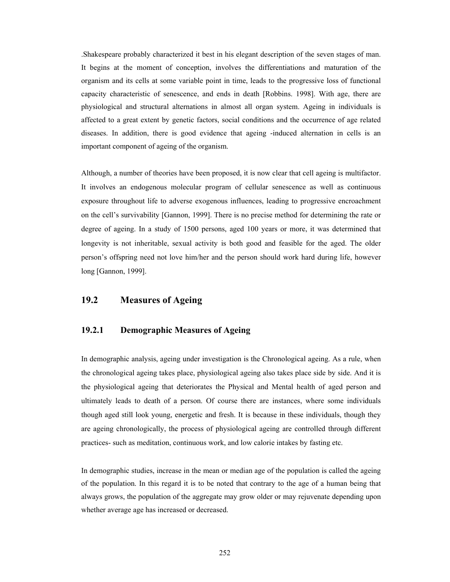.Shakespeare probably characterized it best in his elegant description of the seven stages of man. It begins at the moment of conception, involves the differentiations and maturation of the organism and its cells at some variable point in time, leads to the progressive loss of functional capacity characteristic of senescence, and ends in death [Robbins. 1998]. With age, there are physiological and structural alternations in almost all organ system. Ageing in individuals is affected to a great extent by genetic factors, social conditions and the occurrence of age related diseases. In addition, there is good evidence that ageing -induced alternation in cells is an important component of ageing of the organism.

Although, a number of theories have been proposed, it is now clear that cell ageing is multifactor. It involves an endogenous molecular program of cellular senescence as well as continuous exposure throughout life to adverse exogenous influences, leading to progressive encroachment on the cell's survivability [Gannon, 1999]. There is no precise method for determining the rate or degree of ageing. In a study of 1500 persons, aged 100 years or more, it was determined that longevity is not inheritable, sexual activity is both good and feasible for the aged. The older person's offspring need not love him/her and the person should work hard during life, however long [Gannon, 1999].

## **19.2 Measures of Ageing**

### **19.2.1 Demographic Measures of Ageing**

In demographic analysis, ageing under investigation is the Chronological ageing. As a rule, when the chronological ageing takes place, physiological ageing also takes place side by side. And it is the physiological ageing that deteriorates the Physical and Mental health of aged person and ultimately leads to death of a person. Of course there are instances, where some individuals though aged still look young, energetic and fresh. It is because in these individuals, though they are ageing chronologically, the process of physiological ageing are controlled through different practices- such as meditation, continuous work, and low calorie intakes by fasting etc.

In demographic studies, increase in the mean or median age of the population is called the ageing of the population. In this regard it is to be noted that contrary to the age of a human being that always grows, the population of the aggregate may grow older or may rejuvenate depending upon whether average age has increased or decreased.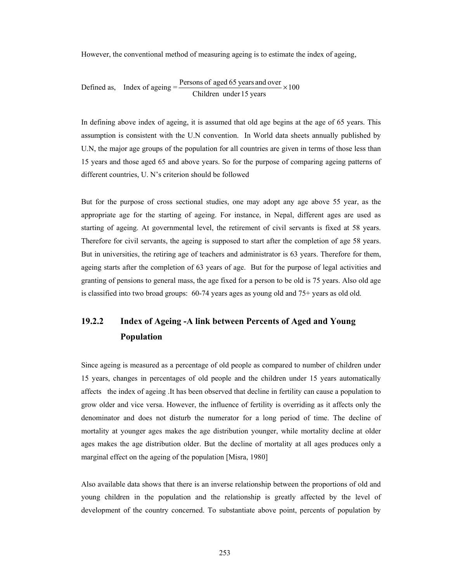However, the conventional method of measuring ageing is to estimate the index of ageing,

Defined as, Index of ageing = 
$$
\frac{\text{Persons of aged 65 years and over}}{\text{Children under 15 years}} \times 100
$$

In defining above index of ageing, it is assumed that old age begins at the age of 65 years. This assumption is consistent with the U.N convention. In World data sheets annually published by U.N, the major age groups of the population for all countries are given in terms of those less than 15 years and those aged 65 and above years. So for the purpose of comparing ageing patterns of different countries, U. N's criterion should be followed

But for the purpose of cross sectional studies, one may adopt any age above 55 year, as the appropriate age for the starting of ageing. For instance, in Nepal, different ages are used as starting of ageing. At governmental level, the retirement of civil servants is fixed at 58 years. Therefore for civil servants, the ageing is supposed to start after the completion of age 58 years. But in universities, the retiring age of teachers and administrator is 63 years. Therefore for them, ageing starts after the completion of 63 years of age. But for the purpose of legal activities and granting of pensions to general mass, the age fixed for a person to be old is 75 years. Also old age is classified into two broad groups: 60-74 years ages as young old and 75+ years as old old.

# **19.2.2 Index of Ageing -A link between Percents of Aged and Young Population**

Since ageing is measured as a percentage of old people as compared to number of children under 15 years, changes in percentages of old people and the children under 15 years automatically affects the index of ageing .It has been observed that decline in fertility can cause a population to grow older and vice versa. However, the influence of fertility is overriding as it affects only the denominator and does not disturb the numerator for a long period of time. The decline of mortality at younger ages makes the age distribution younger, while mortality decline at older ages makes the age distribution older. But the decline of mortality at all ages produces only a marginal effect on the ageing of the population [Misra, 1980]

Also available data shows that there is an inverse relationship between the proportions of old and young children in the population and the relationship is greatly affected by the level of development of the country concerned. To substantiate above point, percents of population by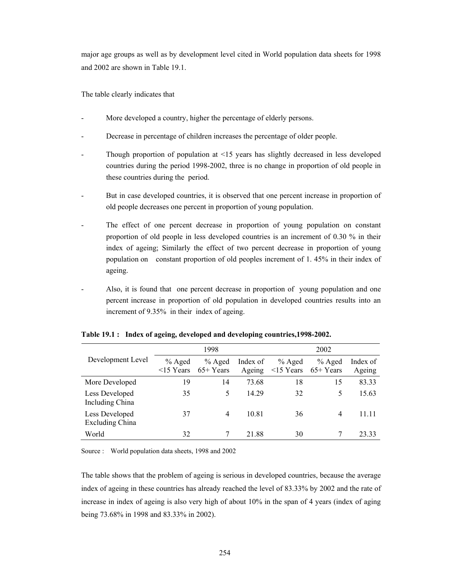major age groups as well as by development level cited in World population data sheets for 1998 and 2002 are shown in Table 19.1.

The table clearly indicates that

- More developed a country, higher the percentage of elderly persons.
- Decrease in percentage of children increases the percentage of older people.
- Though proportion of population at <15 years has slightly decreased in less developed countries during the period 1998-2002, three is no change in proportion of old people in these countries during the period.
- But in case developed countries, it is observed that one percent increase in proportion of old people decreases one percent in proportion of young population.
- The effect of one percent decrease in proportion of young population on constant proportion of old people in less developed countries is an increment of 0.30 % in their index of ageing; Similarly the effect of two percent decrease in proportion of young population on constant proportion of old peoples increment of 1. 45% in their index of ageing.
- Also, it is found that one percent decrease in proportion of young population and one percent increase in proportion of old population in developed countries results into an increment of 9.35% in their index of ageing.

|                                          |                             | 1998                   |                    | 2002                        |                        |                    |  |
|------------------------------------------|-----------------------------|------------------------|--------------------|-----------------------------|------------------------|--------------------|--|
| Development Level                        | $%$ Aged<br>$\leq$ 15 Years | $%$ Aged<br>$65+Years$ | Index of<br>Ageing | $%$ Aged<br>$\leq$ 15 Years | $%$ Aged<br>$65+Years$ | Index of<br>Ageing |  |
| More Developed                           | 19                          | 14                     | 73.68              | 18                          | 15                     | 83.33              |  |
| Less Developed<br>Including China        | 35                          | 5                      | 14.29              | 32                          | 5                      | 15.63              |  |
| Less Developed<br><b>Excluding China</b> | 37                          | 4                      | 10.81              | 36                          | 4                      | 11.11              |  |
| World                                    | 32                          |                        | 21.88              | 30                          |                        | 23.33              |  |

#### **Table 19.1 : Index of ageing, developed and developing countries,1998-2002.**

Source : World population data sheets, 1998 and 2002

The table shows that the problem of ageing is serious in developed countries, because the average index of ageing in these countries has already reached the level of 83.33% by 2002 and the rate of increase in index of ageing is also very high of about 10% in the span of 4 years (index of aging being 73.68% in 1998 and 83.33% in 2002).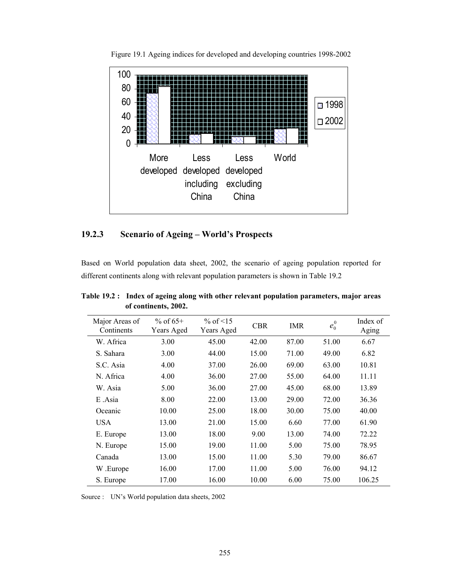

Figure 19.1 Ageing indices for developed and developing countries 1998-2002

## **19.2.3 Scenario of Ageing – World's Prospects**

Based on World population data sheet, 2002, the scenario of ageing population reported for different continents along with relevant population parameters is shown in Table 19.2

| Major Areas of<br>Continents | % of $65+$<br>Years Aged | % of $\leq 15$<br>Years Aged | <b>CBR</b> | IMR   | $e_0^0$ | Index of<br>Aging |
|------------------------------|--------------------------|------------------------------|------------|-------|---------|-------------------|
| W. Africa                    | 3.00                     | 45.00                        | 42.00      | 87.00 | 51.00   | 6.67              |
| S. Sahara                    | 3.00                     | 44.00                        | 15.00      | 71.00 | 49.00   | 6.82              |
| S.C. Asia                    | 4.00                     | 37.00                        | 26.00      | 69.00 | 63.00   | 10.81             |
| N. Africa                    | 4.00                     | 36.00                        | 27.00      | 55.00 | 64.00   | 11.11             |
| W. Asia                      | 5.00                     | 36.00                        | 27.00      | 45.00 | 68.00   | 13.89             |
| E Asia                       | 8.00                     | 22.00                        | 13.00      | 29.00 | 72.00   | 36.36             |
| Oceanic                      | 10.00                    | 25.00                        | 18.00      | 30.00 | 75.00   | 40.00             |
| <b>USA</b>                   | 13.00                    | 21.00                        | 15.00      | 6.60  | 77.00   | 61.90             |
| E. Europe                    | 13.00                    | 18.00                        | 9.00       | 13.00 | 74.00   | 72.22             |
| N. Europe                    | 15.00                    | 19.00                        | 11.00      | 5.00  | 75.00   | 78.95             |
| Canada                       | 13.00                    | 15.00                        | 11.00      | 5.30  | 79.00   | 86.67             |
| W.Europe                     | 16.00                    | 17.00                        | 11.00      | 5.00  | 76.00   | 94.12             |
| S. Europe                    | 17.00                    | 16.00                        | 10.00      | 6.00  | 75.00   | 106.25            |

**Table 19.2 : Index of ageing along with other relevant population parameters, major areas of continents, 2002.** 

Source : UN's World population data sheets, 2002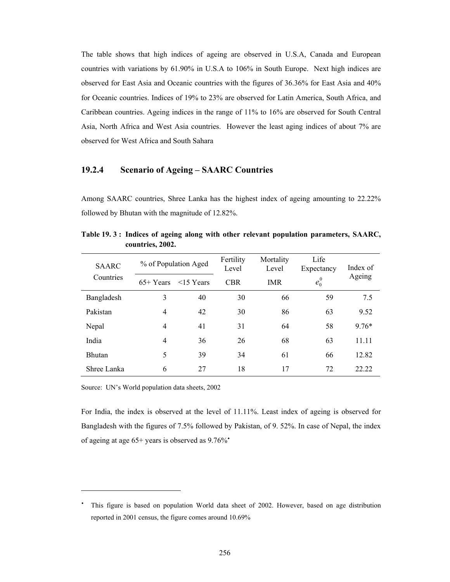The table shows that high indices of ageing are observed in U.S.A, Canada and European countries with variations by 61.90% in U.S.A to 106% in South Europe. Next high indices are observed for East Asia and Oceanic countries with the figures of 36.36% for East Asia and 40% for Oceanic countries. Indices of 19% to 23% are observed for Latin America, South Africa, and Caribbean countries. Ageing indices in the range of 11% to 16% are observed for South Central Asia, North Africa and West Asia countries. However the least aging indices of about 7% are observed for West Africa and South Sahara

## **19.2.4 Scenario of Ageing – SAARC Countries**

Among SAARC countries, Shree Lanka has the highest index of ageing amounting to 22.22% followed by Bhutan with the magnitude of 12.82%.

| <b>SAARC</b>  |                | % of Population Aged | Fertility<br>Level | Mortality<br>Level | Life<br>Expectancy | Index of |
|---------------|----------------|----------------------|--------------------|--------------------|--------------------|----------|
| Countries     | $65+Years$     | $<$ 15 Years         | <b>CBR</b>         | <b>IMR</b>         | $e_0^0$            | Ageing   |
| Bangladesh    | 3              | 40                   | 30                 | 66                 | 59                 | 7.5      |
| Pakistan      | $\overline{4}$ | 42                   | 30                 | 86                 | 63                 | 9.52     |
| Nepal         | 4              | 41                   | 31                 | 64                 | 58                 | $9.76*$  |
| India         | $\overline{4}$ | 36                   | 26                 | 68                 | 63                 | 11.11    |
| <b>Bhutan</b> | 5              | 39                   | 34                 | 61                 | 66                 | 12.82    |
| Shree Lanka   | 6              | 27                   | 18                 | 17                 | 72                 | 22 22    |

**Table 19. 3 : Indices of ageing along with other relevant population parameters, SAARC, countries, 2002.** 

Source: UN's World population data sheets, 2002

 $\overline{a}$ 

For India, the index is observed at the level of 11.11%. Least index of ageing is observed for Bangladesh with the figures of 7.5% followed by Pakistan, of 9. 52%. In case of Nepal, the index of ageing at age  $65+$  years is observed as  $9.76\%$ <sup>\*</sup>

۰ This figure is based on population World data sheet of 2002. However, based on age distribution reported in 2001 census, the figure comes around 10.69%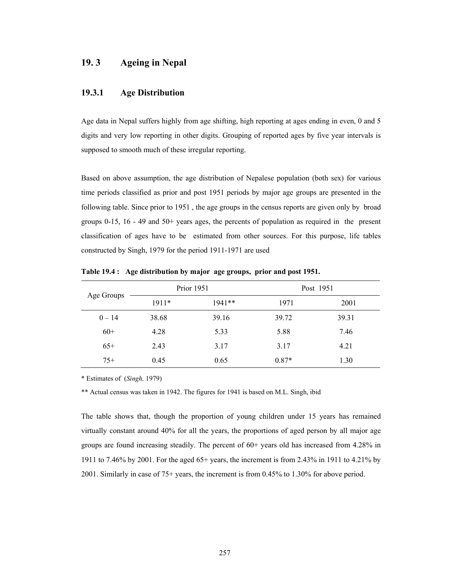# **19. 3 Ageing in Nepal**

## **19.3.1 Age Distribution**

Age data in Nepal suffers highly from age shifting, high reporting at ages ending in even, 0 and 5 digits and very low reporting in other digits. Grouping of reported ages by five year intervals is supposed to smooth much of these irregular reporting.

Based on above assumption, the age distribution of Nepalese population (both sex) for various time periods classified as prior and post 1951 periods by major age groups are presented in the following table. Since prior to 1951 , the age groups in the census reports are given only by broad groups 0-15, 16 - 49 and 50+ years ages, the percents of population as required in the present classification of ages have to be estimated from other sources. For this purpose, life tables constructed by Singh, 1979 for the period 1911-1971 are used

| Age Groups |         | <b>Prior 1951</b> |         | Post 1951 |  |
|------------|---------|-------------------|---------|-----------|--|
|            | $1911*$ | $1941**$          | 1971    | 2001      |  |
| $0 - 14$   | 38.68   | 39.16             | 39.72   | 39.31     |  |
| $60+$      | 4.28    | 5.33              | 5.88    | 7.46      |  |
| $65+$      | 2.43    | 3.17              | 3.17    | 4.21      |  |
| $75+$      | 0.45    | 0.65              | $0.87*$ | 1.30      |  |

**Table 19.4 : Age distribution by major age groups, prior and post 1951.** 

\* Estimates of (*Singh,* 1979)

\*\* Actual census was taken in 1942. The figures for 1941 is based on M.L. Singh, ibid

The table shows that, though the proportion of young children under 15 years has remained virtually constant around 40% for all the years, the proportions of aged person by all major age groups are found increasing steadily. The percent of  $60+$  years old has increased from 4.28% in 1911 to 7.46% by 2001. For the aged 65+ years, the increment is from 2.43% in 1911 to 4.21% by 2001. Similarly in case of 75+ years, the increment is from 0.45% to 1.30% for above period.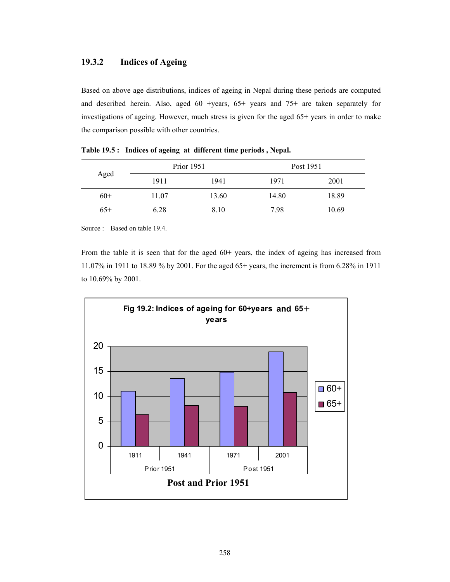## **19.3.2 Indices of Ageing**

Based on above age distributions, indices of ageing in Nepal during these periods are computed and described herein. Also, aged 60 +years, 65+ years and 75+ are taken separately for investigations of ageing. However, much stress is given for the aged 65+ years in order to make the comparison possible with other countries.

|       | Prior 1951 |       | Post 1951 |       |
|-------|------------|-------|-----------|-------|
| Aged  | 1911       | 1941  | 1971      | 2001  |
| $60+$ | 11.07      | 13.60 | 14.80     | 18.89 |
| $65+$ | 6.28       | 8.10  | 7.98      | 10.69 |

**Table 19.5 : Indices of ageing at different time periods , Nepal.** 

Source : Based on table 19.4.

From the table it is seen that for the aged 60+ years, the index of ageing has increased from 11.07% in 1911 to 18.89 % by 2001. For the aged 65+ years, the increment is from 6.28% in 1911 to 10.69% by 2001.

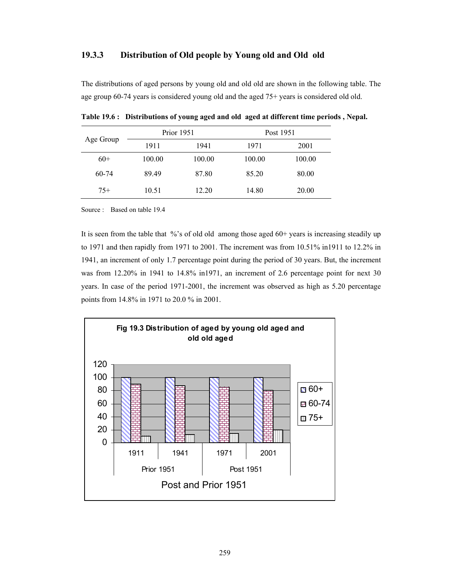### **19.3.3 Distribution of Old people by Young old and Old old**

The distributions of aged persons by young old and old old are shown in the following table. The age group 60-74 years is considered young old and the aged 75+ years is considered old old.

| Age Group |        | <b>Prior</b> 1951 | Post 1951 |        |
|-----------|--------|-------------------|-----------|--------|
|           | 1911   | 1941              | 1971      | 2001   |
| $60+$     | 100.00 | 100.00            | 100.00    | 100.00 |
| $60 - 74$ | 89.49  | 87.80             | 85.20     | 80.00  |
| $75+$     | 10.51  | 12.20             | 14.80     | 20.00  |

**Table 19.6 : Distributions of young aged and old aged at different time periods , Nepal.** 

Source : Based on table 19.4

It is seen from the table that %'s of old old among those aged 60+ years is increasing steadily up to 1971 and then rapidly from 1971 to 2001. The increment was from 10.51% in1911 to 12.2% in 1941, an increment of only 1.7 percentage point during the period of 30 years. But, the increment was from 12.20% in 1941 to 14.8% in1971, an increment of 2.6 percentage point for next 30 years. In case of the period 1971-2001, the increment was observed as high as 5.20 percentage points from 14.8% in 1971 to 20.0 % in 2001.

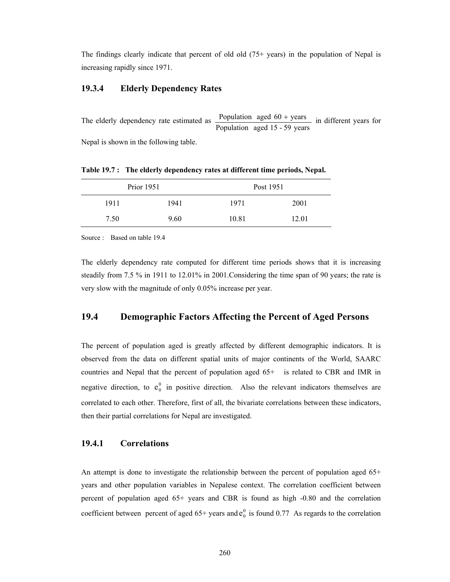The findings clearly indicate that percent of old old (75+ years) in the population of Nepal is increasing rapidly since 1971.

### **19.3.4 Elderly Dependency Rates**

The elderly dependency rate estimated as  $\frac{\text{Population aged } 60 + \text{years}}{\text{Population aged } 15 - 59 \text{ years}}$  in different years for

Nepal is shown in the following table.

|      | Prior 1951 | Post 1951 |       |
|------|------------|-----------|-------|
| 1911 | 1941       | 1971      | 2001  |
| 7.50 | 9.60       | 10.81     | 12.01 |

**Table 19.7 : The elderly dependency rates at different time periods, Nepal.** 

Source : Based on table 19.4

The elderly dependency rate computed for different time periods shows that it is increasing steadily from 7.5 % in 1911 to 12.01% in 2001.Considering the time span of 90 years; the rate is very slow with the magnitude of only 0.05% increase per year.

## **19.4 Demographic Factors Affecting the Percent of Aged Persons**

The percent of population aged is greatly affected by different demographic indicators. It is observed from the data on different spatial units of major continents of the World, SAARC countries and Nepal that the percent of population aged 65+ is related to CBR and IMR in negative direction, to  $e_0^0$  in positive direction. Also the relevant indicators themselves are correlated to each other. Therefore, first of all, the bivariate correlations between these indicators, then their partial correlations for Nepal are investigated.

#### **19.4.1 Correlations**

An attempt is done to investigate the relationship between the percent of population aged 65+ years and other population variables in Nepalese context. The correlation coefficient between percent of population aged 65+ years and CBR is found as high -0.80 and the correlation coefficient between percent of aged  $65+$  years and  $e_0^0$  is found 0.77 As regards to the correlation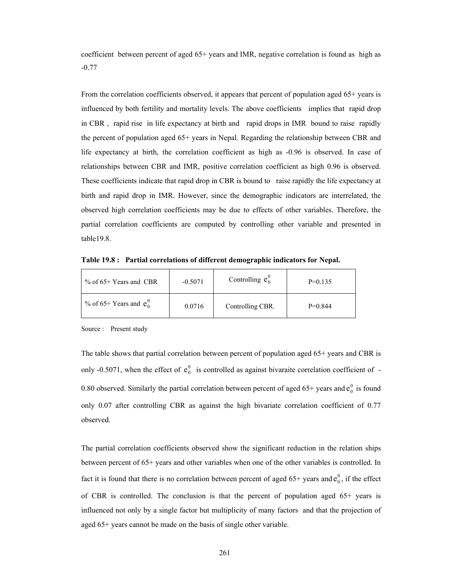coefficient between percent of aged 65+ years and IMR, negative correlation is found as high as -0.77

From the correlation coefficients observed, it appears that percent of population aged 65+ years is influenced by both fertility and mortality levels. The above coefficients implies that rapid drop in CBR , rapid rise in life expectancy at birth and rapid drops in IMR bound to raise rapidly the percent of population aged 65+ years in Nepal. Regarding the relationship between CBR and life expectancy at birth, the correlation coefficient as high as -0.96 is observed. In case of relationships between CBR and IMR, positive correlation coefficient as high 0.96 is observed. These coefficients indicate that rapid drop in CBR is bound to raise rapidly the life expectancy at birth and rapid drop in IMR. However, since the demographic indicators are interrelated, the observed high correlation coefficients may be due to effects of other variables. Therefore, the partial correlation coefficients are computed by controlling other variable and presented in table19.8.

**Table 19.8 : Partial correlations of different demographic indicators for Nepal.** 

| $\%$ of 65+ Years and CBR  | $-0.5071$ | Controlling $e_0^0$ | $P=0.135$ |
|----------------------------|-----------|---------------------|-----------|
| % of 65+ Years and $e_0^0$ | 0.0716    | Controlling CBR.    | $P=0.844$ |

Source : Present study

The table shows that partial correlation between percent of population aged 65+ years and CBR is only -0.5071, when the effect of  $e_0^0$  is controlled as against bivaraite correlation coefficient of -0.80 observed. Similarly the partial correlation between percent of aged  $65+$  years and  $e_0^0$  is found only 0.07 after controlling CBR as against the high bivariate correlation coefficient of 0.77 observed.

The partial correlation coefficients observed show the significant reduction in the relation ships between percent of 65+ years and other variables when one of the other variables is controlled. In fact it is found that there is no correlation between percent of aged  $65+$  years and  $e_0^0$ , if the effect of CBR is controlled. The conclusion is that the percent of population aged 65+ years is influenced not only by a single factor but multiplicity of many factors and that the projection of aged 65+ years cannot be made on the basis of single other variable.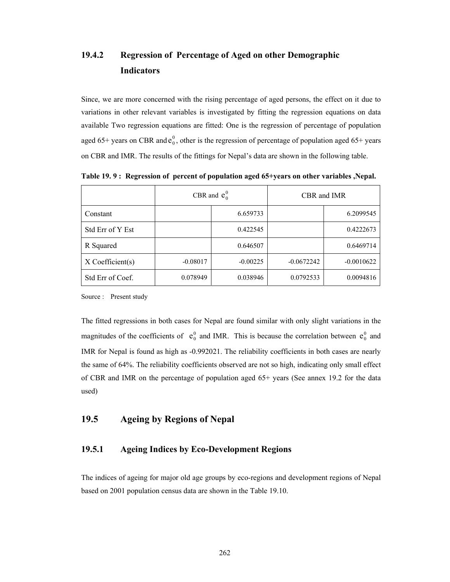# **19.4.2 Regression of Percentage of Aged on other Demographic Indicators**

Since, we are more concerned with the rising percentage of aged persons, the effect on it due to variations in other relevant variables is investigated by fitting the regression equations on data available Two regression equations are fitted: One is the regression of percentage of population aged 65+ years on CBR and  $e_0^0$ , other is the regression of percentage of population aged 65+ years on CBR and IMR. The results of the fittings for Nepal's data are shown in the following table.

|                  | CBR and $e_0^0$ |            | CBR and IMR  |              |  |
|------------------|-----------------|------------|--------------|--------------|--|
| Constant         |                 | 6.659733   |              | 6.2099545    |  |
| Std Err of Y Est |                 | 0.422545   |              | 0.4222673    |  |
| R Squared        |                 | 0.646507   |              | 0.6469714    |  |
| X Coefficient(s) | $-0.08017$      | $-0.00225$ | $-0.0672242$ | $-0.0010622$ |  |
| Std Err of Coef. | 0.078949        | 0.038946   | 0.0792533    | 0.0094816    |  |

**Table 19. 9 : Regression of percent of population aged 65+years on other variables ,Nepal.** 

Source : Present study

The fitted regressions in both cases for Nepal are found similar with only slight variations in the magnitudes of the coefficients of  $e_0^0$  and IMR. This is because the correlation between  $e_0^0$  and IMR for Nepal is found as high as -0.992021. The reliability coefficients in both cases are nearly the same of 64%. The reliability coefficients observed are not so high, indicating only small effect of CBR and IMR on the percentage of population aged 65+ years (See annex 19.2 for the data used)

## **19.5 Ageing by Regions of Nepal**

## **19.5.1 Ageing Indices by Eco-Development Regions**

The indices of ageing for major old age groups by eco-regions and development regions of Nepal based on 2001 population census data are shown in the Table 19.10.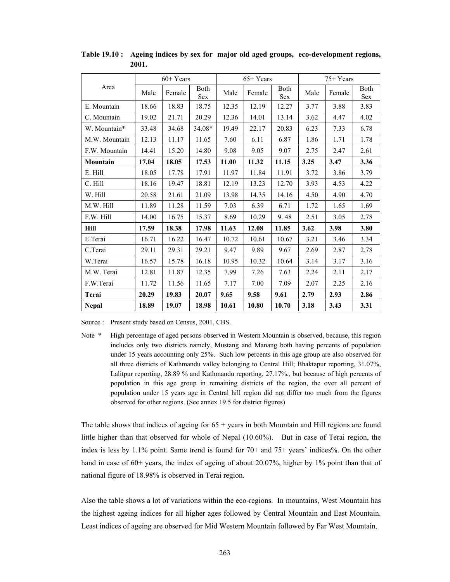|               |       | $60+Years$ |             |       | $65+Years$ |                    |      | $75+Years$ |                            |  |
|---------------|-------|------------|-------------|-------|------------|--------------------|------|------------|----------------------------|--|
| Area          | Male  | Female     | Both<br>Sex | Male  | Female     | Both<br><b>Sex</b> | Male | Female     | <b>B</b> oth<br><b>Sex</b> |  |
| E. Mountain   | 18.66 | 18.83      | 18.75       | 12.35 | 12.19      | 12.27              | 3.77 | 3.88       | 3.83                       |  |
| C. Mountain   | 19.02 | 21.71      | 20.29       | 12.36 | 14.01      | 13.14              | 3.62 | 4.47       | 4.02                       |  |
| W. Mountain*  | 33.48 | 34.68      | 34.08*      | 19.49 | 22.17      | 20.83              | 6.23 | 7.33       | 6.78                       |  |
| M.W. Mountain | 12.13 | 11.17      | 11.65       | 7.60  | 6.11       | 6.87               | 1.86 | 1.71       | 1.78                       |  |
| F.W. Mountain | 14.41 | 15.20      | 14.80       | 9.08  | 9.05       | 9.07               | 2.75 | 2.47       | 2.61                       |  |
| Mountain      | 17.04 | 18.05      | 17.53       | 11.00 | 11.32      | 11.15              | 3.25 | 3.47       | 3.36                       |  |
| E. Hill       | 18.05 | 17.78      | 17.91       | 11.97 | 11.84      | 11.91              | 3.72 | 3.86       | 3.79                       |  |
| C. Hill       | 18.16 | 19.47      | 18.81       | 12.19 | 13.23      | 12.70              | 3.93 | 4.53       | 4.22                       |  |
| W. Hill       | 20.58 | 21.61      | 21.09       | 13.98 | 14.35      | 14.16              | 4.50 | 4.90       | 4.70                       |  |
| M.W. Hill     | 11.89 | 11.28      | 11.59       | 7.03  | 6.39       | 6.71               | 1.72 | 1.65       | 1.69                       |  |
| F.W. Hill     | 14.00 | 16.75      | 15.37       | 8.69  | 10.29      | 9.48               | 2.51 | 3.05       | 2.78                       |  |
| <b>Hill</b>   | 17.59 | 18.38      | 17.98       | 11.63 | 12.08      | 11.85              | 3.62 | 3.98       | 3.80                       |  |
| E.Terai       | 16.71 | 16.22      | 16.47       | 10.72 | 10.61      | 10.67              | 3.21 | 3.46       | 3.34                       |  |
| C.Terai       | 29.11 | 29.31      | 29.21       | 9.47  | 9.89       | 9.67               | 2.69 | 2.87       | 2.78                       |  |
| W.Terai       | 16.57 | 15.78      | 16.18       | 10.95 | 10.32      | 10.64              | 3.14 | 3.17       | 3.16                       |  |
| M.W. Terai    | 12.81 | 11.87      | 12.35       | 7.99  | 7.26       | 7.63               | 2.24 | 2.11       | 2.17                       |  |
| F.W.Terai     | 11.72 | 11.56      | 11.65       | 7.17  | 7.00       | 7.09               | 2.07 | 2.25       | 2.16                       |  |
| Terai         | 20.29 | 19.83      | 20.07       | 9.65  | 9.58       | 9.61               | 2.79 | 2.93       | 2.86                       |  |
| <b>Nepal</b>  | 18.89 | 19.07      | 18.98       | 10.61 | 10.80      | 10.70              | 3.18 | 3.43       | 3.31                       |  |

**Table 19.10 : Ageing indices by sex for major old aged groups, eco-development regions, 2001.** 

Source : Present study based on Census, 2001, CBS.

Note \* High percentage of aged persons observed in Western Mountain is observed, because, this region includes only two districts namely, Mustang and Manang both having percents of population under 15 years accounting only 25%. Such low percents in this age group are also observed for all three districts of Kathmandu valley belonging to Central Hill; Bhaktapur reporting, 31.07%, Lalitpur reporting, 28.89 % and Kathmandu reporting, 27.17%., but because of high percents of population in this age group in remaining districts of the region, the over all percent of population under 15 years age in Central hill region did not differ too much from the figures observed for other regions. (See annex 19.5 for district figures)

The table shows that indices of ageing for  $65 + \gamma$  years in both Mountain and Hill regions are found little higher than that observed for whole of Nepal (10.60%). But in case of Terai region, the index is less by 1.1% point. Same trend is found for 70+ and 75+ years' indices%. On the other hand in case of 60+ years, the index of ageing of about 20.07%, higher by 1% point than that of national figure of 18.98% is observed in Terai region.

Also the table shows a lot of variations within the eco-regions. In mountains, West Mountain has the highest ageing indices for all higher ages followed by Central Mountain and East Mountain. Least indices of ageing are observed for Mid Western Mountain followed by Far West Mountain.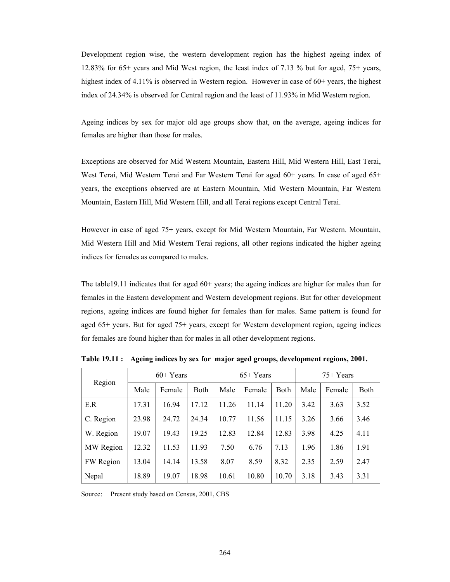Development region wise, the western development region has the highest ageing index of 12.83% for 65+ years and Mid West region, the least index of 7.13 % but for aged, 75+ years, highest index of 4.11% is observed in Western region. However in case of 60+ years, the highest index of 24.34% is observed for Central region and the least of 11.93% in Mid Western region.

Ageing indices by sex for major old age groups show that, on the average, ageing indices for females are higher than those for males.

Exceptions are observed for Mid Western Mountain, Eastern Hill, Mid Western Hill, East Terai, West Terai, Mid Western Terai and Far Western Terai for aged 60+ years. In case of aged 65+ years, the exceptions observed are at Eastern Mountain, Mid Western Mountain, Far Western Mountain, Eastern Hill, Mid Western Hill, and all Terai regions except Central Terai.

However in case of aged 75+ years, except for Mid Western Mountain, Far Western. Mountain, Mid Western Hill and Mid Western Terai regions, all other regions indicated the higher ageing indices for females as compared to males.

The table19.11 indicates that for aged 60+ years; the ageing indices are higher for males than for females in the Eastern development and Western development regions. But for other development regions, ageing indices are found higher for females than for males. Same pattern is found for aged 65+ years. But for aged 75+ years, except for Western development region, ageing indices for females are found higher than for males in all other development regions.

| Region    | $60+Years$ |        |             | $65+Years$ |        |             | $75+Years$ |        |      |
|-----------|------------|--------|-------------|------------|--------|-------------|------------|--------|------|
|           | Male       | Female | <b>Both</b> | Male       | Female | <b>Both</b> | Male       | Female | Both |
| E.R       | 17.31      | 16.94  | 17.12       | 11.26      | 11.14  | 11.20       | 3.42       | 3.63   | 3.52 |
| C. Region | 23.98      | 24.72  | 24.34       | 10.77      | 11.56  | 11.15       | 3.26       | 3.66   | 3.46 |
| W. Region | 19.07      | 19.43  | 19.25       | 12.83      | 12.84  | 12.83       | 3.98       | 4.25   | 4.11 |
| MW Region | 12.32      | 11.53  | 11.93       | 7.50       | 6.76   | 7.13        | 1.96       | 1.86   | 1.91 |
| FW Region | 13.04      | 14.14  | 13.58       | 8.07       | 8.59   | 8.32        | 2.35       | 2.59   | 2.47 |
| Nepal     | 18.89      | 19.07  | 18.98       | 10.61      | 10.80  | 10.70       | 3.18       | 3.43   | 3.31 |

**Table 19.11 : Ageing indices by sex for major aged groups, development regions, 2001.** 

Source: Present study based on Census, 2001, CBS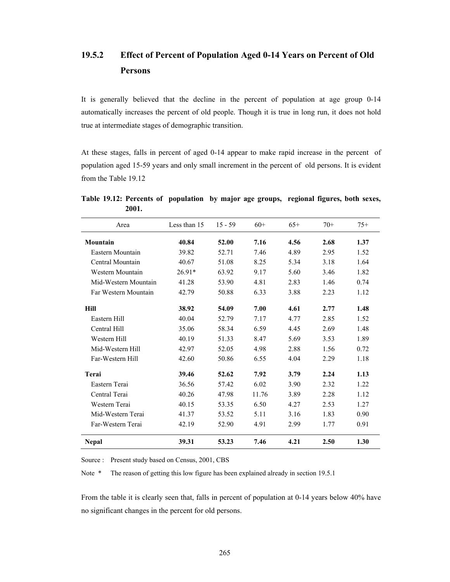# **19.5.2 Effect of Percent of Population Aged 0-14 Years on Percent of Old Persons**

It is generally believed that the decline in the percent of population at age group 0-14 automatically increases the percent of old people. Though it is true in long run, it does not hold true at intermediate stages of demographic transition.

At these stages, falls in percent of aged 0-14 appear to make rapid increase in the percent of population aged 15-59 years and only small increment in the percent of old persons. It is evident from the Table 19.12

| Area                 | Less than 15 | $15 - 59$ | $60+$ | $65+$ | $70+$ | $75+$ |
|----------------------|--------------|-----------|-------|-------|-------|-------|
| Mountain             | 40.84        | 52.00     | 7.16  | 4.56  | 2.68  | 1.37  |
| Eastern Mountain     | 39.82        | 52.71     | 7.46  | 4.89  | 2.95  | 1.52  |
| Central Mountain     | 40.67        | 51.08     | 8.25  | 5.34  | 3.18  | 1.64  |
| Western Mountain     | $26.91*$     | 63.92     | 9.17  | 5.60  | 3.46  | 1.82  |
| Mid-Western Mountain | 41.28        | 53.90     | 4.81  | 2.83  | 1.46  | 0.74  |
| Far Western Mountain | 42.79        | 50.88     | 6.33  | 3.88  | 2.23  | 1.12  |
| <b>Hill</b>          | 38.92        | 54.09     | 7.00  | 4.61  | 2.77  | 1.48  |
| Eastern Hill         | 40.04        | 52.79     | 7.17  | 4.77  | 2.85  | 1.52  |
| Central Hill         | 35.06        | 58.34     | 6.59  | 4.45  | 2.69  | 1.48  |
| Western Hill         | 40.19        | 51.33     | 8.47  | 5.69  | 3.53  | 1.89  |
| Mid-Western Hill     | 42.97        | 52.05     | 4.98  | 2.88  | 1.56  | 0.72  |
| Far-Western Hill     | 42.60        | 50.86     | 6.55  | 4.04  | 2.29  | 1.18  |
| Terai                | 39.46        | 52.62     | 7.92  | 3.79  | 2.24  | 1.13  |
| Eastern Terai        | 36.56        | 57.42     | 6.02  | 3.90  | 2.32  | 1.22  |
| Central Terai        | 40.26        | 47.98     | 11.76 | 3.89  | 2.28  | 1.12  |
| Western Terai        | 40.15        | 53.35     | 6.50  | 4.27  | 2.53  | 1.27  |
| Mid-Western Terai    | 41.37        | 53.52     | 5.11  | 3.16  | 1.83  | 0.90  |
| Far-Western Terai    | 42.19        | 52.90     | 4.91  | 2.99  | 1.77  | 0.91  |
| <b>Nepal</b>         | 39.31        | 53.23     | 7.46  | 4.21  | 2.50  | 1.30  |

**Table 19.12: Percents of population by major age groups, regional figures, both sexes, 2001.** 

Source : Present study based on Census, 2001, CBS

Note \* The reason of getting this low figure has been explained already in section 19.5.1

From the table it is clearly seen that, falls in percent of population at 0-14 years below 40% have no significant changes in the percent for old persons.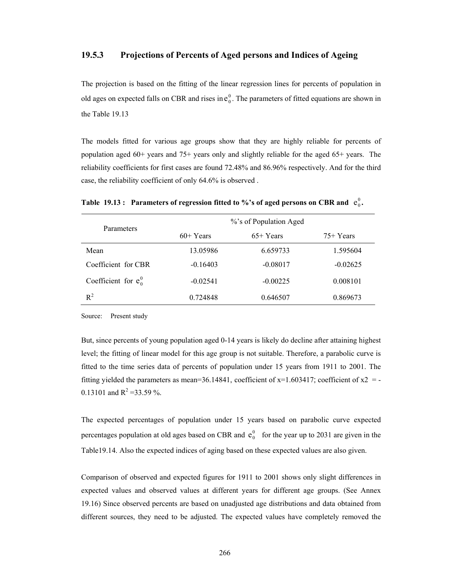### **19.5.3 Projections of Percents of Aged persons and Indices of Ageing**

The projection is based on the fitting of the linear regression lines for percents of population in old ages on expected falls on CBR and rises in  $e_0^0$ . The parameters of fitted equations are shown in the Table 19.13

The models fitted for various age groups show that they are highly reliable for percents of population aged 60+ years and 75+ years only and slightly reliable for the aged 65+ years. The reliability coefficients for first cases are found 72.48% and 86.96% respectively. And for the third case, the reliability coefficient of only 64.6% is observed .

| Parameters              | %'s of Population Aged |            |            |  |  |
|-------------------------|------------------------|------------|------------|--|--|
|                         | $60+Years$             | $65+Years$ | $75+Years$ |  |  |
| Mean                    | 13.05986               | 6.659733   | 1.595604   |  |  |
| Coefficient for CBR     | $-0.16403$             | $-0.08017$ | $-0.02625$ |  |  |
| Coefficient for $e_0^0$ | $-0.02541$             | $-0.00225$ | 0.008101   |  |  |
| $R^2$                   | 0.724848               | 0.646507   | 0.869673   |  |  |

Table 19.13 : Parameters of regression fitted to %'s of aged persons on CBR and  $e_0^0$ .

Source: Present study

But, since percents of young population aged 0-14 years is likely do decline after attaining highest level; the fitting of linear model for this age group is not suitable. Therefore, a parabolic curve is fitted to the time series data of percents of population under 15 years from 1911 to 2001. The fitting yielded the parameters as mean=36.14841, coefficient of  $x=1.603417$ ; coefficient of  $x=2$  = 0.13101 and  $R^2 = 33.59$  %.

The expected percentages of population under 15 years based on parabolic curve expected percentages population at old ages based on CBR and  $e_0^0$  for the year up to 2031 are given in the Table19.14. Also the expected indices of aging based on these expected values are also given.

Comparison of observed and expected figures for 1911 to 2001 shows only slight differences in expected values and observed values at different years for different age groups. (See Annex 19.16) Since observed percents are based on unadjusted age distributions and data obtained from different sources, they need to be adjusted. The expected values have completely removed the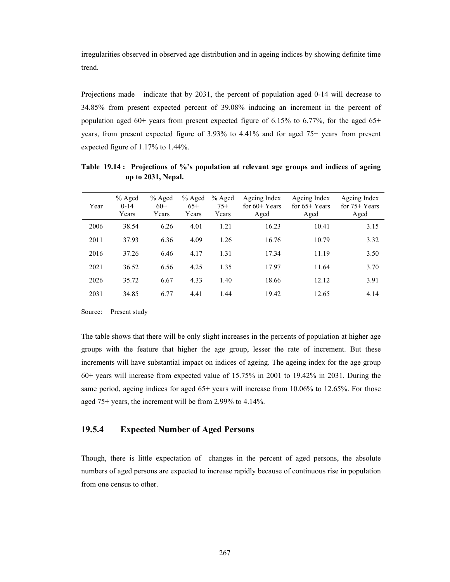irregularities observed in observed age distribution and in ageing indices by showing definite time trend.

Projections made indicate that by 2031, the percent of population aged 0-14 will decrease to 34.85% from present expected percent of 39.08% inducing an increment in the percent of population aged  $60+$  years from present expected figure of 6.15% to 6.77%, for the aged 65+ years, from present expected figure of 3.93% to 4.41% and for aged 75+ years from present expected figure of 1.17% to 1.44%.

| Year | % Aged<br>$0-14$<br>Years | $%$ Aged<br>$60+$<br>Years | % Aged<br>$65+$<br>Years | $%$ Aged<br>$75+$<br>Years | Ageing Index<br>for $60+$ Years<br>Aged | Ageing Index<br>for $65+$ Years<br>Aged | Ageing Index<br>for $75+Years$<br>Aged |
|------|---------------------------|----------------------------|--------------------------|----------------------------|-----------------------------------------|-----------------------------------------|----------------------------------------|
| 2006 | 38.54                     | 6.26                       | 4.01                     | 1.21                       | 16.23                                   | 10.41                                   | 3.15                                   |
| 2011 | 37.93                     | 6.36                       | 4.09                     | 1.26                       | 16.76                                   | 10.79                                   | 3.32                                   |
| 2016 | 37.26                     | 6.46                       | 4.17                     | 1.31                       | 17.34                                   | 11.19                                   | 3.50                                   |
| 2021 | 36.52                     | 6.56                       | 4.25                     | 1.35                       | 17.97                                   | 11.64                                   | 3.70                                   |
| 2026 | 35.72                     | 6.67                       | 4.33                     | 1.40                       | 18.66                                   | 12.12                                   | 3.91                                   |
| 2031 | 34.85                     | 6.77                       | 4.41                     | 1.44                       | 19.42                                   | 12.65                                   | 4.14                                   |

**Table 19.14 : Projections of %'s population at relevant age groups and indices of ageing up to 2031, Nepal.** 

Source: Present study

The table shows that there will be only slight increases in the percents of population at higher age groups with the feature that higher the age group, lesser the rate of increment. But these increments will have substantial impact on indices of ageing. The ageing index for the age group 60+ years will increase from expected value of 15.75% in 2001 to 19.42% in 2031. During the same period, ageing indices for aged 65+ years will increase from 10.06% to 12.65%. For those aged 75+ years, the increment will be from 2.99% to 4.14%.

## **19.5.4 Expected Number of Aged Persons**

Though, there is little expectation of changes in the percent of aged persons, the absolute numbers of aged persons are expected to increase rapidly because of continuous rise in population from one census to other.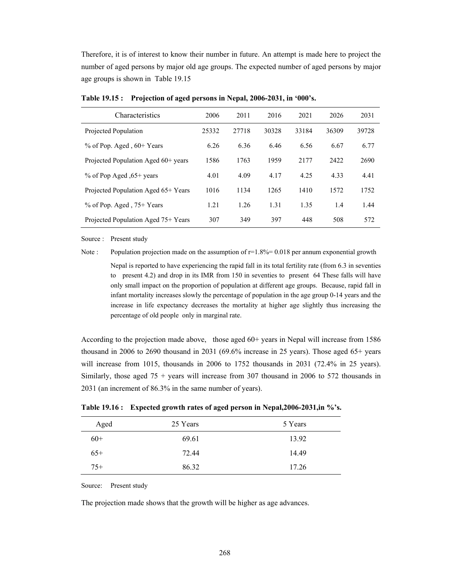Therefore, it is of interest to know their number in future. An attempt is made here to project the number of aged persons by major old age groups. The expected number of aged persons by major age groups is shown in Table 19.15

| Characteristics                     | 2006  | 2011  | 2016  | 2021  | 2026  | 2031  |
|-------------------------------------|-------|-------|-------|-------|-------|-------|
| Projected Population                | 25332 | 27718 | 30328 | 33184 | 36309 | 39728 |
| % of Pop. Aged, 60+ Years           | 6.26  | 6.36  | 6.46  | 6.56  | 6.67  | 6.77  |
| Projected Population Aged 60+ years | 1586  | 1763  | 1959  | 2177  | 2422  | 2690  |
| % of Pop Aged , 65+ years           | 4.01  | 4.09  | 4.17  | 4.25  | 4.33  | 4.41  |
| Projected Population Aged 65+ Years | 1016  | 1134  | 1265  | 1410  | 1572  | 1752  |
| % of Pop. Aged, $75+$ Years         | 1.21  | 1.26  | 1.31  | 1.35  | 1.4   | 1.44  |
| Projected Population Aged 75+ Years | 307   | 349   | 397   | 448   | 508   | 572   |

**Table 19.15 : Projection of aged persons in Nepal, 2006-2031, in '000's.** 

Source : Present study

Note : Population projection made on the assumption of  $r=1.8\% = 0.018$  per annum exponential growth

 Nepal is reported to have experiencing the rapid fall in its total fertility rate (from 6.3 in seventies to present 4.2) and drop in its IMR from 150 in seventies to present 64 These falls will have only small impact on the proportion of population at different age groups. Because, rapid fall in infant mortality increases slowly the percentage of population in the age group 0-14 years and the increase in life expectancy decreases the mortality at higher age slightly thus increasing the percentage of old people only in marginal rate.

According to the projection made above, those aged 60+ years in Nepal will increase from 1586 thousand in 2006 to 2690 thousand in 2031 (69.6% increase in 25 years). Those aged 65+ years will increase from 1015, thousands in 2006 to 1752 thousands in 2031 (72.4% in 25 years). Similarly, those aged  $75 + \text{years}$  will increase from 307 thousand in 2006 to 572 thousands in 2031 (an increment of 86.3% in the same number of years).

| Aged  | 25 Years | 5 Years |
|-------|----------|---------|
| $60+$ | 69.61    | 13.92   |
| $65+$ | 72.44    | 14.49   |
| $75+$ | 86.32    | 17.26   |

**Table 19.16 : Expected growth rates of aged person in Nepal,2006-2031,in %'s.** 

Source: Present study

The projection made shows that the growth will be higher as age advances.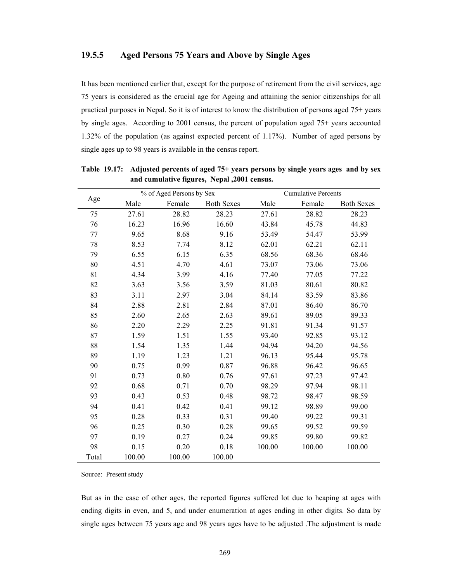### **19.5.5 Aged Persons 75 Years and Above by Single Ages**

It has been mentioned earlier that, except for the purpose of retirement from the civil services, age 75 years is considered as the crucial age for Ageing and attaining the senior citizenships for all practical purposes in Nepal. So it is of interest to know the distribution of persons aged 75+ years by single ages. According to 2001 census, the percent of population aged 75+ years accounted 1.32% of the population (as against expected percent of 1.17%). Number of aged persons by single ages up to 98 years is available in the census report.

|       |        | % of Aged Persons by Sex |                   |        | <b>Cumulative Percents</b> |                   |  |
|-------|--------|--------------------------|-------------------|--------|----------------------------|-------------------|--|
| Age   | Male   | Female                   | <b>Both Sexes</b> | Male   | Female                     | <b>Both Sexes</b> |  |
| 75    | 27.61  | 28.82                    | 28.23             | 27.61  | 28.82                      | 28.23             |  |
| 76    | 16.23  | 16.96                    | 16.60             | 43.84  | 45.78                      | 44.83             |  |
| 77    | 9.65   | 8.68                     | 9.16              | 53.49  | 54.47                      | 53.99             |  |
| 78    | 8.53   | 7.74                     | 8.12              | 62.01  | 62.21                      | 62.11             |  |
| 79    | 6.55   | 6.15                     | 6.35              | 68.56  | 68.36                      | 68.46             |  |
| 80    | 4.51   | 4.70                     | 4.61              | 73.07  | 73.06                      | 73.06             |  |
| 81    | 4.34   | 3.99                     | 4.16              | 77.40  | 77.05                      | 77.22             |  |
| 82    | 3.63   | 3.56                     | 3.59              | 81.03  | 80.61                      | 80.82             |  |
| 83    | 3.11   | 2.97                     | 3.04              | 84.14  | 83.59                      | 83.86             |  |
| 84    | 2.88   | 2.81                     | 2.84              | 87.01  | 86.40                      | 86.70             |  |
| 85    | 2.60   | 2.65                     | 2.63              | 89.61  | 89.05                      | 89.33             |  |
| 86    | 2.20   | 2.29                     | 2.25              | 91.81  | 91.34                      | 91.57             |  |
| 87    | 1.59   | 1.51                     | 1.55              | 93.40  | 92.85                      | 93.12             |  |
| 88    | 1.54   | 1.35                     | 1.44              | 94.94  | 94.20                      | 94.56             |  |
| 89    | 1.19   | 1.23                     | 1.21              | 96.13  | 95.44                      | 95.78             |  |
| 90    | 0.75   | 0.99                     | 0.87              | 96.88  | 96.42                      | 96.65             |  |
| 91    | 0.73   | 0.80                     | 0.76              | 97.61  | 97.23                      | 97.42             |  |
| 92    | 0.68   | 0.71                     | 0.70              | 98.29  | 97.94                      | 98.11             |  |
| 93    | 0.43   | 0.53                     | 0.48              | 98.72  | 98.47                      | 98.59             |  |
| 94    | 0.41   | 0.42                     | 0.41              | 99.12  | 98.89                      | 99.00             |  |
| 95    | 0.28   | 0.33                     | 0.31              | 99.40  | 99.22                      | 99.31             |  |
| 96    | 0.25   | 0.30                     | 0.28              | 99.65  | 99.52                      | 99.59             |  |
| 97    | 0.19   | 0.27                     | 0.24              | 99.85  | 99.80                      | 99.82             |  |
| 98    | 0.15   | 0.20                     | 0.18              | 100.00 | 100.00                     | 100.00            |  |
| Total | 100.00 | 100.00                   | 100.00            |        |                            |                   |  |

**Table 19.17: Adjusted percents of aged 75+ years persons by single years ages and by sex and cumulative figures, Nepal ,2001 census.** 

Source: Present study

But as in the case of other ages, the reported figures suffered lot due to heaping at ages with ending digits in even, and 5, and under enumeration at ages ending in other digits. So data by single ages between 75 years age and 98 years ages have to be adjusted. The adjustment is made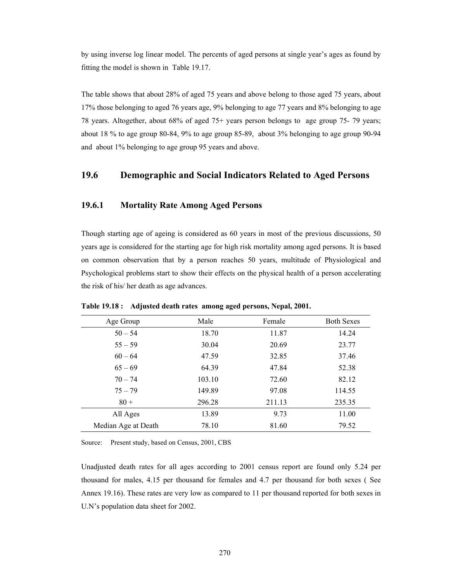by using inverse log linear model. The percents of aged persons at single year's ages as found by fitting the model is shown in Table 19.17.

The table shows that about 28% of aged 75 years and above belong to those aged 75 years, about 17% those belonging to aged 76 years age, 9% belonging to age 77 years and 8% belonging to age 78 years. Altogether, about 68% of aged 75+ years person belongs to age group 75- 79 years; about 18 % to age group 80-84, 9% to age group 85-89, about 3% belonging to age group 90-94 and about 1% belonging to age group 95 years and above.

## **19.6 Demographic and Social Indicators Related to Aged Persons**

### **19.6.1 Mortality Rate Among Aged Persons**

Though starting age of ageing is considered as 60 years in most of the previous discussions, 50 years age is considered for the starting age for high risk mortality among aged persons. It is based on common observation that by a person reaches 50 years, multitude of Physiological and Psychological problems start to show their effects on the physical health of a person accelerating the risk of his/ her death as age advances.

| Age Group           | Male   | Female | <b>Both Sexes</b> |
|---------------------|--------|--------|-------------------|
| $50 - 54$           | 18.70  | 11.87  | 14.24             |
| $55 - 59$           | 30.04  | 20.69  | 23.77             |
| $60 - 64$           | 47.59  | 32.85  | 37.46             |
| $65 - 69$           | 64.39  | 47.84  | 52.38             |
| $70 - 74$           | 103.10 | 72.60  | 82.12             |
| $75 - 79$           | 149.89 | 97.08  | 114.55            |
| $80 +$              | 296.28 | 211.13 | 235.35            |
| All Ages            | 13.89  | 9.73   | 11.00             |
| Median Age at Death | 78.10  | 81.60  | 79.52             |

**Table 19.18 : Adjusted death rates among aged persons, Nepal, 2001.** 

Source: Present study, based on Census, 2001, CBS

Unadjusted death rates for all ages according to 2001 census report are found only 5.24 per thousand for males, 4.15 per thousand for females and 4.7 per thousand for both sexes ( See Annex 19.16). These rates are very low as compared to 11 per thousand reported for both sexes in U.N's population data sheet for 2002.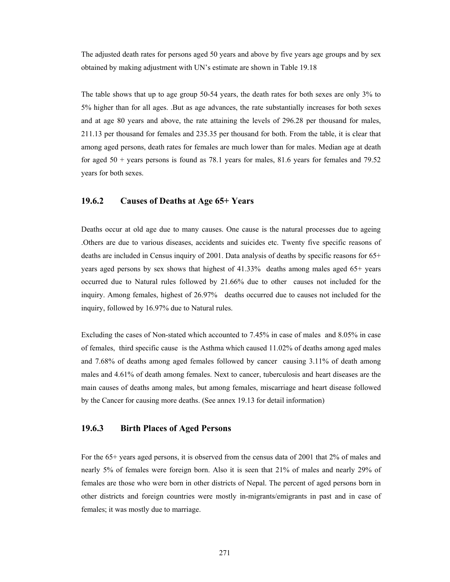The adjusted death rates for persons aged 50 years and above by five years age groups and by sex obtained by making adjustment with UN's estimate are shown in Table 19.18

The table shows that up to age group 50-54 years, the death rates for both sexes are only 3% to 5% higher than for all ages. .But as age advances, the rate substantially increases for both sexes and at age 80 years and above, the rate attaining the levels of 296.28 per thousand for males, 211.13 per thousand for females and 235.35 per thousand for both. From the table, it is clear that among aged persons, death rates for females are much lower than for males. Median age at death for aged 50 + years persons is found as 78.1 years for males, 81.6 years for females and 79.52 years for both sexes.

### **19.6.2 Causes of Deaths at Age 65+ Years**

Deaths occur at old age due to many causes. One cause is the natural processes due to ageing .Others are due to various diseases, accidents and suicides etc. Twenty five specific reasons of deaths are included in Census inquiry of 2001. Data analysis of deaths by specific reasons for 65+ years aged persons by sex shows that highest of 41.33% deaths among males aged 65+ years occurred due to Natural rules followed by 21.66% due to other causes not included for the inquiry. Among females, highest of 26.97% deaths occurred due to causes not included for the inquiry, followed by 16.97% due to Natural rules.

Excluding the cases of Non-stated which accounted to 7.45% in case of males and 8.05% in case of females, third specific cause is the Asthma which caused 11.02% of deaths among aged males and 7.68% of deaths among aged females followed by cancer causing 3.11% of death among males and 4.61% of death among females. Next to cancer, tuberculosis and heart diseases are the main causes of deaths among males, but among females, miscarriage and heart disease followed by the Cancer for causing more deaths. (See annex 19.13 for detail information)

### **19.6.3 Birth Places of Aged Persons**

For the 65+ years aged persons, it is observed from the census data of 2001 that 2% of males and nearly 5% of females were foreign born. Also it is seen that 21% of males and nearly 29% of females are those who were born in other districts of Nepal. The percent of aged persons born in other districts and foreign countries were mostly in-migrants/emigrants in past and in case of females; it was mostly due to marriage.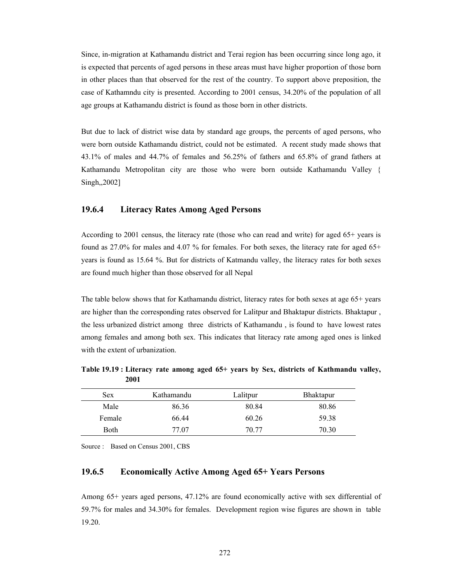Since, in-migration at Kathamandu district and Terai region has been occurring since long ago, it is expected that percents of aged persons in these areas must have higher proportion of those born in other places than that observed for the rest of the country. To support above preposition, the case of Kathamndu city is presented. According to 2001 census, 34.20% of the population of all age groups at Kathamandu district is found as those born in other districts.

But due to lack of district wise data by standard age groups, the percents of aged persons, who were born outside Kathamandu district, could not be estimated. A recent study made shows that 43.1% of males and 44.7% of females and 56.25% of fathers and 65.8% of grand fathers at Kathamandu Metropolitan city are those who were born outside Kathamandu Valley { Singh,,2002]

## **19.6.4 Literacy Rates Among Aged Persons**

According to 2001 census, the literacy rate (those who can read and write) for aged 65+ years is found as  $27.0\%$  for males and  $4.07\%$  for females. For both sexes, the literacy rate for aged  $65+$ years is found as 15.64 %. But for districts of Katmandu valley, the literacy rates for both sexes are found much higher than those observed for all Nepal

The table below shows that for Kathamandu district, literacy rates for both sexes at age 65+ years are higher than the corresponding rates observed for Lalitpur and Bhaktapur districts. Bhaktapur , the less urbanized district among three districts of Kathamandu , is found to have lowest rates among females and among both sex. This indicates that literacy rate among aged ones is linked with the extent of urbanization.

**Table 19.19 : Literacy rate among aged 65+ years by Sex, districts of Kathmandu valley, 2001** 

| <b>Sex</b> | Kathamandu | Lalitpur | <b>Bhaktapur</b> |
|------------|------------|----------|------------------|
| Male       | 86.36      | 80.84    | 80.86            |
| Female     | 66.44      | 60.26    | 59.38            |
| Both       | 77.07      | 70.77    | 70.30            |

Source : Based on Census 2001, CBS

### **19.6.5 Economically Active Among Aged 65+ Years Persons**

Among 65+ years aged persons, 47.12% are found economically active with sex differential of 59.7% for males and 34.30% for females. Development region wise figures are shown in table 19.20.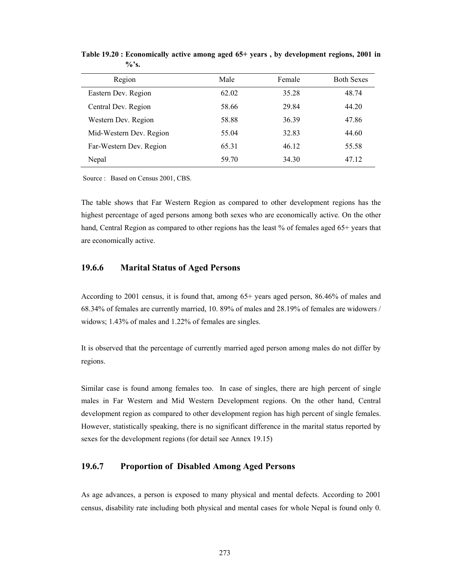| Region                  | Male  | Female | <b>Both Sexes</b> |
|-------------------------|-------|--------|-------------------|
| Eastern Dev. Region     | 62.02 | 35.28  | 48.74             |
| Central Dev. Region     | 58.66 | 29.84  | 44.20             |
| Western Dev. Region     | 58.88 | 36.39  | 47.86             |
| Mid-Western Dev. Region | 55.04 | 32.83  | 44.60             |
| Far-Western Dev. Region | 65.31 | 46.12  | 55.58             |
| Nepal                   | 59.70 | 34.30  | 47.12             |

**Table 19.20 : Economically active among aged 65+ years , by development regions, 2001 in %'s.** 

Source : Based on Census 2001, CBS.

The table shows that Far Western Region as compared to other development regions has the highest percentage of aged persons among both sexes who are economically active. On the other hand, Central Region as compared to other regions has the least % of females aged 65+ years that are economically active.

## **19.6.6 Marital Status of Aged Persons**

According to 2001 census, it is found that, among 65+ years aged person, 86.46% of males and 68.34% of females are currently married, 10. 89% of males and 28.19% of females are widowers / widows; 1.43% of males and 1.22% of females are singles.

It is observed that the percentage of currently married aged person among males do not differ by regions.

Similar case is found among females too. In case of singles, there are high percent of single males in Far Western and Mid Western Development regions. On the other hand, Central development region as compared to other development region has high percent of single females. However, statistically speaking, there is no significant difference in the marital status reported by sexes for the development regions (for detail see Annex 19.15)

### **19.6.7 Proportion of Disabled Among Aged Persons**

As age advances, a person is exposed to many physical and mental defects. According to 2001 census, disability rate including both physical and mental cases for whole Nepal is found only 0.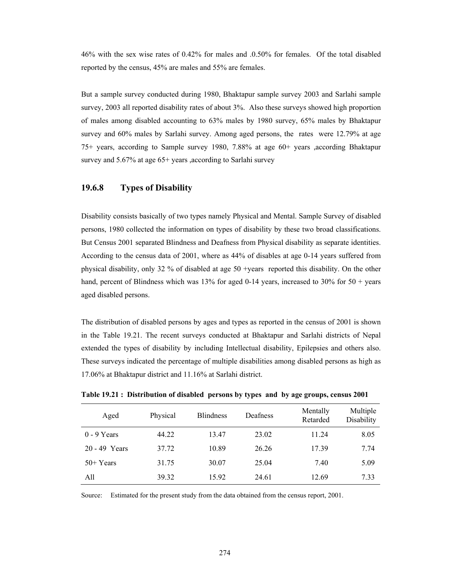46% with the sex wise rates of 0.42% for males and .0.50% for females. Of the total disabled reported by the census, 45% are males and 55% are females.

But a sample survey conducted during 1980, Bhaktapur sample survey 2003 and Sarlahi sample survey, 2003 all reported disability rates of about 3%. Also these surveys showed high proportion of males among disabled accounting to 63% males by 1980 survey, 65% males by Bhaktapur survey and 60% males by Sarlahi survey. Among aged persons, the rates were 12.79% at age 75+ years, according to Sample survey 1980, 7.88% at age 60+ years ,according Bhaktapur survey and 5.67% at age 65+ years ,according to Sarlahi survey

### **19.6.8 Types of Disability**

Disability consists basically of two types namely Physical and Mental. Sample Survey of disabled persons, 1980 collected the information on types of disability by these two broad classifications. But Census 2001 separated Blindness and Deafness from Physical disability as separate identities. According to the census data of 2001, where as 44% of disables at age 0-14 years suffered from physical disability, only 32 % of disabled at age 50 +years reported this disability. On the other hand, percent of Blindness which was 13% for aged 0-14 years, increased to 30% for 50 + years aged disabled persons.

The distribution of disabled persons by ages and types as reported in the census of 2001 is shown in the Table 19.21. The recent surveys conducted at Bhaktapur and Sarlahi districts of Nepal extended the types of disability by including Intellectual disability, Epilepsies and others also. These surveys indicated the percentage of multiple disabilities among disabled persons as high as 17.06% at Bhaktapur district and 11.16% at Sarlahi district.

| Aged          | Physical | <b>Blindness</b> | Deafness | Mentally<br>Retarded | Multiple<br>Disability |
|---------------|----------|------------------|----------|----------------------|------------------------|
| $0 - 9$ Years | 44.22    | 13.47            | 23.02    | 11.24                | 8.05                   |
| 20 - 49 Years | 37.72    | 10.89            | 26.26    | 17.39                | 7.74                   |
| $50+Years$    | 31.75    | 30.07            | 25.04    | 7.40                 | 5.09                   |
| All           | 39.32    | 15.92            | 24.61    | 12.69                | 7.33                   |

**Table 19.21 : Distribution of disabled persons by types and by age groups, census 2001** 

Source: Estimated for the present study from the data obtained from the census report, 2001.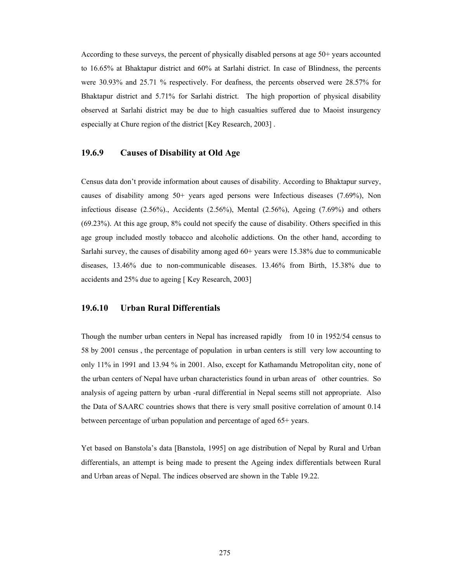According to these surveys, the percent of physically disabled persons at age 50+ years accounted to 16.65% at Bhaktapur district and 60% at Sarlahi district. In case of Blindness, the percents were 30.93% and 25.71 % respectively. For deafness, the percents observed were 28.57% for Bhaktapur district and 5.71% for Sarlahi district. The high proportion of physical disability observed at Sarlahi district may be due to high casualties suffered due to Maoist insurgency especially at Chure region of the district [Key Research, 2003] .

### **19.6.9 Causes of Disability at Old Age**

Census data don't provide information about causes of disability. According to Bhaktapur survey, causes of disability among 50+ years aged persons were Infectious diseases (7.69%), Non infectious disease (2.56%)., Accidents (2.56%), Mental (2.56%), Ageing (7.69%) and others (69.23%). At this age group, 8% could not specify the cause of disability. Others specified in this age group included mostly tobacco and alcoholic addictions. On the other hand, according to Sarlahi survey, the causes of disability among aged 60+ years were 15.38% due to communicable diseases, 13.46% due to non-communicable diseases. 13.46% from Birth, 15.38% due to accidents and 25% due to ageing [ Key Research, 2003]

### **19.6.10 Urban Rural Differentials**

Though the number urban centers in Nepal has increased rapidly from 10 in 1952/54 census to 58 by 2001 census , the percentage of population in urban centers is still very low accounting to only 11% in 1991 and 13.94 % in 2001. Also, except for Kathamandu Metropolitan city, none of the urban centers of Nepal have urban characteristics found in urban areas of other countries. So analysis of ageing pattern by urban -rural differential in Nepal seems still not appropriate. Also the Data of SAARC countries shows that there is very small positive correlation of amount 0.14 between percentage of urban population and percentage of aged 65+ years.

Yet based on Banstola's data [Banstola, 1995] on age distribution of Nepal by Rural and Urban differentials, an attempt is being made to present the Ageing index differentials between Rural and Urban areas of Nepal. The indices observed are shown in the Table 19.22.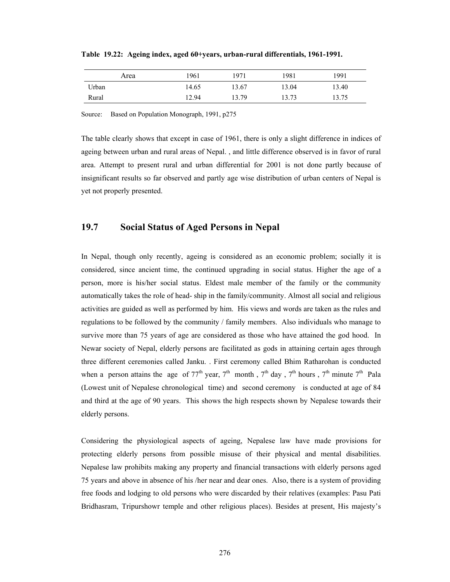| Area  | 1961  | 1971  | 1981  | 1991  |
|-------|-------|-------|-------|-------|
| Urban | 14.65 | 13.67 | 13.04 | 13.40 |
| Rural | 12.94 | 13.79 | 13.73 | 13.75 |

**Table 19.22: Ageing index, aged 60+years, urban-rural differentials, 1961-1991.** 

Source: Based on Population Monograph, 1991, p275

The table clearly shows that except in case of 1961, there is only a slight difference in indices of ageing between urban and rural areas of Nepal. , and little difference observed is in favor of rural area. Attempt to present rural and urban differential for 2001 is not done partly because of insignificant results so far observed and partly age wise distribution of urban centers of Nepal is yet not properly presented.

# **19.7 Social Status of Aged Persons in Nepal**

In Nepal, though only recently, ageing is considered as an economic problem; socially it is considered, since ancient time, the continued upgrading in social status. Higher the age of a person, more is his/her social status. Eldest male member of the family or the community automatically takes the role of head- ship in the family/community. Almost all social and religious activities are guided as well as performed by him. His views and words are taken as the rules and regulations to be followed by the community / family members. Also individuals who manage to survive more than 75 years of age are considered as those who have attained the god hood. In Newar society of Nepal, elderly persons are facilitated as gods in attaining certain ages through three different ceremonies called Janku. . First ceremony called Bhim Ratharohan is conducted when a person attains the age of  $77<sup>th</sup>$  year,  $7<sup>th</sup>$  month,  $7<sup>th</sup>$  day,  $7<sup>th</sup>$  hours,  $7<sup>th</sup>$  minute  $7<sup>th</sup>$  Pala (Lowest unit of Nepalese chronological time) and second ceremony is conducted at age of 84 and third at the age of 90 years. This shows the high respects shown by Nepalese towards their elderly persons.

Considering the physiological aspects of ageing, Nepalese law have made provisions for protecting elderly persons from possible misuse of their physical and mental disabilities. Nepalese law prohibits making any property and financial transactions with elderly persons aged 75 years and above in absence of his /her near and dear ones. Also, there is a system of providing free foods and lodging to old persons who were discarded by their relatives (examples: Pasu Pati Bridhasram, Tripurshowr temple and other religious places). Besides at present, His majesty's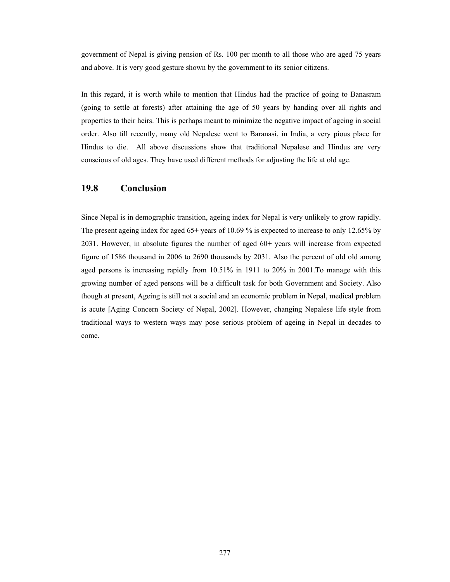government of Nepal is giving pension of Rs. 100 per month to all those who are aged 75 years and above. It is very good gesture shown by the government to its senior citizens.

In this regard, it is worth while to mention that Hindus had the practice of going to Banasram (going to settle at forests) after attaining the age of 50 years by handing over all rights and properties to their heirs. This is perhaps meant to minimize the negative impact of ageing in social order. Also till recently, many old Nepalese went to Baranasi, in India, a very pious place for Hindus to die. All above discussions show that traditional Nepalese and Hindus are very conscious of old ages. They have used different methods for adjusting the life at old age.

## **19.8 Conclusion**

Since Nepal is in demographic transition, ageing index for Nepal is very unlikely to grow rapidly. The present ageing index for aged 65+ years of 10.69 % is expected to increase to only 12.65% by 2031. However, in absolute figures the number of aged 60+ years will increase from expected figure of 1586 thousand in 2006 to 2690 thousands by 2031. Also the percent of old old among aged persons is increasing rapidly from 10.51% in 1911 to 20% in 2001.To manage with this growing number of aged persons will be a difficult task for both Government and Society. Also though at present, Ageing is still not a social and an economic problem in Nepal, medical problem is acute [Aging Concern Society of Nepal, 2002]. However, changing Nepalese life style from traditional ways to western ways may pose serious problem of ageing in Nepal in decades to come.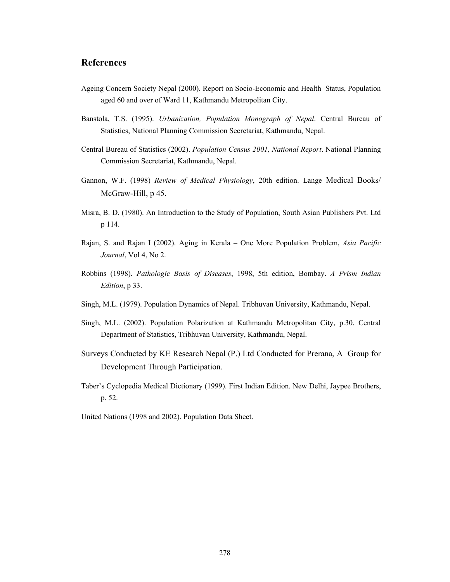## **References**

- Ageing Concern Society Nepal (2000). Report on Socio-Economic and Health Status, Population aged 60 and over of Ward 11, Kathmandu Metropolitan City.
- Banstola, T.S. (1995). *Urbanization, Population Monograph of Nepal*. Central Bureau of Statistics, National Planning Commission Secretariat, Kathmandu, Nepal.
- Central Bureau of Statistics (2002). *Population Census 2001, National Report*. National Planning Commission Secretariat, Kathmandu, Nepal.
- Gannon, W.F. (1998) *Review of Medical Physiology*, 20th edition. Lange Medical Books/ McGraw-Hill, p 45.
- Misra, B. D. (1980). An Introduction to the Study of Population, South Asian Publishers Pvt. Ltd p 114.
- Rajan, S. and Rajan I (2002). Aging in Kerala One More Population Problem, *Asia Pacific Journal*, Vol 4, No 2.
- Robbins (1998). *Pathologic Basis of Diseases*, 1998, 5th edition, Bombay. *A Prism Indian Edition*, p 33.
- Singh, M.L. (1979). Population Dynamics of Nepal. Tribhuvan University, Kathmandu, Nepal.
- Singh, M.L. (2002). Population Polarization at Kathmandu Metropolitan City, p.30. Central Department of Statistics, Tribhuvan University, Kathmandu, Nepal.
- Surveys Conducted by KE Research Nepal (P.) Ltd Conducted for Prerana, A Group for Development Through Participation.
- Taber's Cyclopedia Medical Dictionary (1999). First Indian Edition. New Delhi, Jaypee Brothers, p. 52.
- United Nations (1998 and 2002). Population Data Sheet.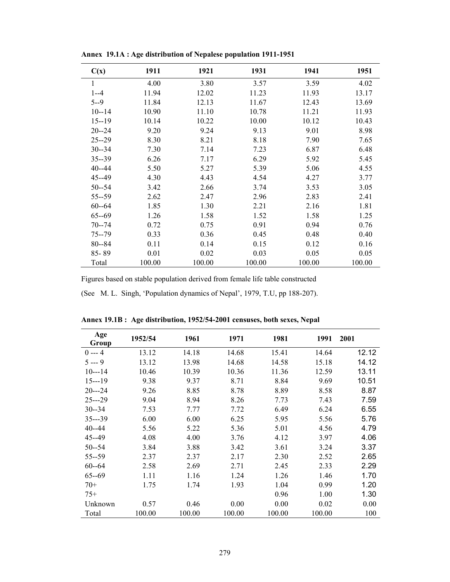| C(x)      | 1911   | 1921   | 1931   | 1941   | 1951   |
|-----------|--------|--------|--------|--------|--------|
| 1         | 4.00   | 3.80   | 3.57   | 3.59   | 4.02   |
| $1 - -4$  | 11.94  | 12.02  | 11.23  | 11.93  | 13.17  |
| $5 - -9$  | 11.84  | 12.13  | 11.67  | 12.43  | 13.69  |
| $10 - 14$ | 10.90  | 11.10  | 10.78  | 11.21  | 11.93  |
| $15 - 19$ | 10.14  | 10.22  | 10.00  | 10.12  | 10.43  |
| $20 - 24$ | 9.20   | 9.24   | 9.13   | 9.01   | 8.98   |
| $25 - 29$ | 8.30   | 8.21   | 8.18   | 7.90   | 7.65   |
| $30 - 34$ | 7.30   | 7.14   | 7.23   | 6.87   | 6.48   |
| $35 - 39$ | 6.26   | 7.17   | 6.29   | 5.92   | 5.45   |
| $40 - 44$ | 5.50   | 5.27   | 5.39   | 5.06   | 4.55   |
| $45 - 49$ | 4.30   | 4.43   | 4.54   | 4.27   | 3.77   |
| $50 - 54$ | 3.42   | 2.66   | 3.74   | 3.53   | 3.05   |
| $55 - 59$ | 2.62   | 2.47   | 2.96   | 2.83   | 2.41   |
| $60 - 64$ | 1.85   | 1.30   | 2.21   | 2.16   | 1.81   |
| $65 - 69$ | 1.26   | 1.58   | 1.52   | 1.58   | 1.25   |
| $70 - 74$ | 0.72   | 0.75   | 0.91   | 0.94   | 0.76   |
| $75 - 79$ | 0.33   | 0.36   | 0.45   | 0.48   | 0.40   |
| $80 - 84$ | 0.11   | 0.14   | 0.15   | 0.12   | 0.16   |
| 85-89     | 0.01   | 0.02   | 0.03   | 0.05   | 0.05   |
| Total     | 100.00 | 100.00 | 100.00 | 100.00 | 100.00 |

**Annex 19.1A : Age distribution of Nepalese population 1911-1951** 

Figures based on stable population derived from female life table constructed

(See M. L. Singh, 'Population dynamics of Nepal', 1979, T.U, pp 188-207).

| Age<br>Group | 1952/54 | 1961   | 1971   | 1981   | 1991   | 2001  |
|--------------|---------|--------|--------|--------|--------|-------|
| $0 - 4$      | 13.12   | 14.18  | 14.68  | 15.41  | 14.64  | 12.12 |
| $5 - 9$      | 13.12   | 13.98  | 14.68  | 14.58  | 15.18  | 14.12 |
| $10--14$     | 10.46   | 10.39  | 10.36  | 11.36  | 12.59  | 13.11 |
| $15--19$     | 9.38    | 9.37   | 8.71   | 8.84   | 9.69   | 10.51 |
| $20--24$     | 9.26    | 8.85   | 8.78   | 8.89   | 8.58   | 8.87  |
| $25--29$     | 9.04    | 8.94   | 8.26   | 7.73   | 7.43   | 7.59  |
| $30 - 34$    | 7.53    | 7.77   | 7.72   | 6.49   | 6.24   | 6.55  |
| $35--39$     | 6.00    | 6.00   | 6.25   | 5.95   | 5.56   | 5.76  |
| $40 - 44$    | 5.56    | 5.22   | 5.36   | 5.01   | 4.56   | 4.79  |
| 45--49       | 4.08    | 4.00   | 3.76   | 4.12   | 3.97   | 4.06  |
| $50 - 54$    | 3.84    | 3.88   | 3.42   | 3.61   | 3.24   | 3.37  |
| $55 - 59$    | 2.37    | 2.37   | 2.17   | 2.30   | 2.52   | 2.65  |
| $60 - 64$    | 2.58    | 2.69   | 2.71   | 2.45   | 2.33   | 2.29  |
| $65 - 69$    | 1.11    | 1.16   | 1.24   | 1.26   | 1.46   | 1.70  |
| $70+$        | 1.75    | 1.74   | 1.93   | 1.04   | 0.99   | 1.20  |
| $75+$        |         |        |        | 0.96   | 1.00   | 1.30  |
| Unknown      | 0.57    | 0.46   | 0.00   | 0.00   | 0.02   | 0.00  |
| Total        | 100.00  | 100.00 | 100.00 | 100.00 | 100.00 | 100   |

**Annex 19.1B : Age distribution, 1952/54-2001 censuses, both sexes, Nepal**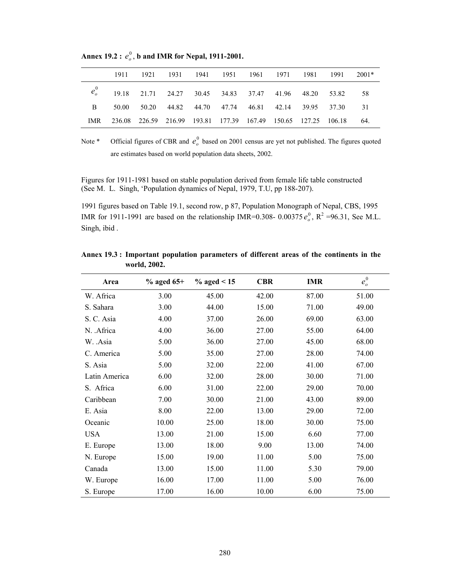|              |                                                                  | 1911 1921 | 1931 1941 1951 1961 1971 1981 1991 |  |  |                                                          | 2001* |
|--------------|------------------------------------------------------------------|-----------|------------------------------------|--|--|----------------------------------------------------------|-------|
|              | $e_0^0$ 19.18 21.71 24.27 30.45 34.83 37.47 41.96 48.20 53.82 58 |           |                                    |  |  |                                                          |       |
| $\mathbf{B}$ |                                                                  |           |                                    |  |  | 50.00 50.20 44.82 44.70 47.74 46.81 42.14 39.95 37.30 31 |       |
| IMR.         | 236.08 226.59 216.99 193.81 177.39 167.49 150.65 127.25 106.18   |           |                                    |  |  |                                                          | 64.   |

Annex 19.2 :  $e^0_o$ , b and IMR for Nepal, 1911-2001.

Note \* Official figures of CBR and  $e^0$  based on 2001 census are yet not published. The figures quoted are estimates based on world population data sheets, 2002.

Figures for 1911-1981 based on stable population derived from female life table constructed (See M. L. Singh, 'Population dynamics of Nepal, 1979, T.U, pp 188-207).

1991 figures based on Table 19.1, second row, p 87, Population Monograph of Nepal, CBS, 1995 IMR for 1911-1991 are based on the relationship IMR=0.308- 0.00375 $e_0^0$ , R<sup>2</sup> =96.31, See M.L. Singh, ibid .

| Area          | $%$ aged 65+ | $\%$ aged < 15 | <b>CBR</b> | <b>IMR</b> | $e_o^0$ |
|---------------|--------------|----------------|------------|------------|---------|
| W. Africa     | 3.00         | 45.00          | 42.00      | 87.00      | 51.00   |
| S. Sahara     | 3.00         | 44.00          | 15.00      | 71.00      | 49.00   |
| S. C. Asia    | 4.00         | 37.00          | 26.00      | 69.00      | 63.00   |
| N. .Africa    | 4.00         | 36.00          | 27.00      | 55.00      | 64.00   |
| W. .Asia      | 5.00         | 36.00          | 27.00      | 45.00      | 68.00   |
| C. America    | 5.00         | 35.00          | 27.00      | 28.00      | 74.00   |
| S. Asia       | 5.00         | 32.00          | 22.00      | 41.00      | 67.00   |
| Latin America | 6.00         | 32.00          | 28.00      | 30.00      | 71.00   |
| S. Africa     | 6.00         | 31.00          | 22.00      | 29.00      | 70.00   |
| Caribbean     | 7.00         | 30.00          | 21.00      | 43.00      | 89.00   |
| E. Asia       | 8.00         | 22.00          | 13.00      | 29.00      | 72.00   |
| Oceanic       | 10.00        | 25.00          | 18.00      | 30.00      | 75.00   |
| <b>USA</b>    | 13.00        | 21.00          | 15.00      | 6.60       | 77.00   |
| E. Europe     | 13.00        | 18.00          | 9.00       | 13.00      | 74.00   |
| N. Europe     | 15.00        | 19.00          | 11.00      | 5.00       | 75.00   |
| Canada        | 13.00        | 15.00          | 11.00      | 5.30       | 79.00   |
| W. Europe     | 16.00        | 17.00          | 11.00      | 5.00       | 76.00   |
| S. Europe     | 17.00        | 16.00          | 10.00      | 6.00       | 75.00   |

**Annex 19.3 : Important population parameters of different areas of the continents in the world, 2002.**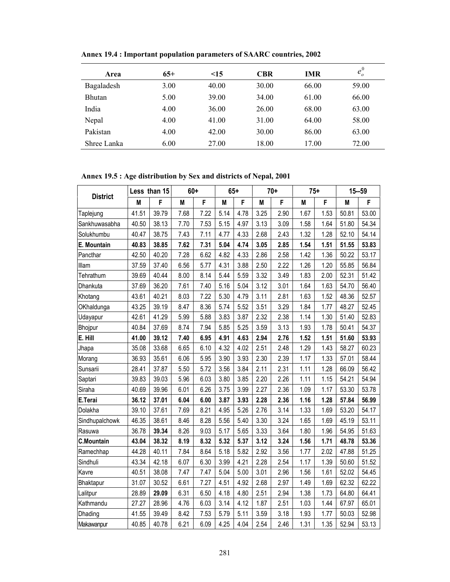| Area          | $65+$ | $\leq$ 15 | <b>CBR</b> | <b>IMR</b> | $e_o^0$ |
|---------------|-------|-----------|------------|------------|---------|
| Bagaladesh    | 3.00  | 40.00     | 30.00      | 66.00      | 59.00   |
| <b>Bhutan</b> | 5.00  | 39.00     | 34.00      | 61.00      | 66.00   |
| India         | 4.00  | 36.00     | 26.00      | 68.00      | 63.00   |
| Nepal         | 4.00  | 41.00     | 31.00      | 64.00      | 58.00   |
| Pakistan      | 4.00  | 42.00     | 30.00      | 86.00      | 63.00   |
| Shree Lanka   | 6.00  | 27.00     | 18.00      | 17.00      | 72.00   |

**Annex 19.4 : Important population parameters of SAARC countries, 2002** 

**Annex 19.5 : Age distribution by Sex and districts of Nepal, 2001**

|                   |       | Less than 15 |      | $60+$ |      | $65+$ |      | $70+$ |      | $75+$ |       | $15 - 59$ |  |
|-------------------|-------|--------------|------|-------|------|-------|------|-------|------|-------|-------|-----------|--|
| <b>District</b>   | M     | F            | Μ    | F     | M    | F     | M    | F     | Μ    | F     | M     | F         |  |
| Taplejung         | 41.51 | 39.79        | 7.68 | 7.22  | 5.14 | 4.78  | 3.25 | 2.90  | 1.67 | 1.53  | 50.81 | 53.00     |  |
| Sankhuwasabha     | 40.50 | 38.13        | 7.70 | 7.53  | 5.15 | 4.97  | 3.13 | 3.09  | 1.58 | 1.64  | 51.80 | 54.34     |  |
| Solukhumbu        | 40.47 | 38.75        | 7.43 | 7.11  | 4.77 | 4.33  | 2.68 | 2.43  | 1.32 | 1.28  | 52.10 | 54.14     |  |
| E. Mountain       | 40.83 | 38.85        | 7.62 | 7.31  | 5.04 | 4.74  | 3.05 | 2.85  | 1.54 | 1.51  | 51.55 | 53.83     |  |
| Pancthar          | 42.50 | 40.20        | 7.28 | 6.62  | 4.82 | 4.33  | 2.86 | 2.58  | 1.42 | 1.36  | 50.22 | 53.17     |  |
| Illam             | 37.59 | 37.40        | 6.56 | 5.77  | 4.31 | 3.88  | 2.50 | 2.22  | 1.26 | 1.20  | 55.85 | 56.84     |  |
| Tehrathum         | 39.69 | 40.44        | 8.00 | 8.14  | 5.44 | 5.59  | 3.32 | 3.49  | 1.83 | 2.00  | 52.31 | 51.42     |  |
| Dhankuta          | 37.69 | 36.20        | 7.61 | 7.40  | 5.16 | 5.04  | 3.12 | 3.01  | 1.64 | 1.63  | 54.70 | 56.40     |  |
| Khotang           | 43.61 | 40.21        | 8.03 | 7.22  | 5.30 | 4.79  | 3.11 | 2.81  | 1.63 | 1.52  | 48.36 | 52.57     |  |
| OKhaldunga        | 43.25 | 39.19        | 8.47 | 8.36  | 5.74 | 5.52  | 3.51 | 3.29  | 1.84 | 1.77  | 48.27 | 52.45     |  |
| Udayapur          | 42.61 | 41.29        | 5.99 | 5.88  | 3.83 | 3.87  | 2.32 | 2.38  | 1.14 | 1.30  | 51.40 | 52.83     |  |
| Bhojpur           | 40.84 | 37.69        | 8.74 | 7.94  | 5.85 | 5.25  | 3.59 | 3.13  | 1.93 | 1.78  | 50.41 | 54.37     |  |
| E. Hill           | 41.00 | 39.12        | 7.40 | 6.95  | 4.91 | 4.63  | 2.94 | 2.76  | 1.52 | 1.51  | 51.60 | 53.93     |  |
| Jhapa             | 35.08 | 33.68        | 6.65 | 6.10  | 4.32 | 4.02  | 2.51 | 2.48  | 1.29 | 1.43  | 58.27 | 60.23     |  |
| Morang            | 36.93 | 35.61        | 6.06 | 5.95  | 3.90 | 3.93  | 2.30 | 2.39  | 1.17 | 1.33  | 57.01 | 58.44     |  |
| Sunsarii          | 28.41 | 37.87        | 5.50 | 5.72  | 3.56 | 3.84  | 2.11 | 2.31  | 1.11 | 1.28  | 66.09 | 56.42     |  |
| Saptari           | 39.83 | 39.03        | 5.96 | 6.03  | 3.80 | 3.85  | 2.20 | 2.26  | 1.11 | 1.15  | 54.21 | 54.94     |  |
| Siraha            | 40.69 | 39.96        | 6.01 | 6.26  | 3.75 | 3.99  | 2.27 | 2.36  | 1.09 | 1.17  | 53.30 | 53.78     |  |
| E.Terai           | 36.12 | 37.01        | 6.04 | 6.00  | 3.87 | 3.93  | 2.28 | 2.36  | 1.16 | 1.28  | 57.84 | 56.99     |  |
| Dolakha           | 39.10 | 37.61        | 7.69 | 8.21  | 4.95 | 5.26  | 2.76 | 3.14  | 1.33 | 1.69  | 53.20 | 54.17     |  |
| Sindhupalchowk    | 46.35 | 38.61        | 8.46 | 8.28  | 5.56 | 5.40  | 3.30 | 3.24  | 1.65 | 1.69  | 45.19 | 53.11     |  |
| Rasuwa            | 36.78 | 39.34        | 8.26 | 9.03  | 5.17 | 5.65  | 3.33 | 3.64  | 1.80 | 1.96  | 54.95 | 51.63     |  |
| <b>C.Mountain</b> | 43.04 | 38.32        | 8.19 | 8.32  | 5.32 | 5.37  | 3.12 | 3.24  | 1.56 | 1.71  | 48.78 | 53.36     |  |
| Ramechhap         | 44.28 | 40.11        | 7.84 | 8.64  | 5.18 | 5.82  | 2.92 | 3.56  | 1.77 | 2.02  | 47.88 | 51.25     |  |
| Sindhuli          | 43.34 | 42.18        | 6.07 | 6.30  | 3.99 | 4.21  | 2.28 | 2.54  | 1.17 | 1.39  | 50.60 | 51.52     |  |
| Kavre             | 40.51 | 38.08        | 7.47 | 7.47  | 5.04 | 5.00  | 3.01 | 2.96  | 1.56 | 1.61  | 52.02 | 54.45     |  |
| Bhaktapur         | 31.07 | 30.52        | 6.61 | 7.27  | 4.51 | 4.92  | 2.68 | 2.97  | 1.49 | 1.69  | 62.32 | 62.22     |  |
| Lalitpur          | 28.89 | 29.09        | 6.31 | 6.50  | 4.18 | 4.80  | 2.51 | 2.94  | 1.38 | 1.73  | 64.80 | 64.41     |  |
| Kathmandu         | 27.27 | 28.96        | 4.76 | 6.03  | 3.14 | 4.12  | 1.87 | 2.51  | 1.03 | 1.44  | 67.97 | 65.01     |  |
| Dhading           | 41.55 | 39.49        | 8.42 | 7.53  | 5.79 | 5.11  | 3.59 | 3.18  | 1.93 | 1.77  | 50.03 | 52.98     |  |
| Makawanpur        | 40.85 | 40.78        | 6.21 | 6.09  | 4.25 | 4.04  | 2.54 | 2.46  | 1.31 | 1.35  | 52.94 | 53.13     |  |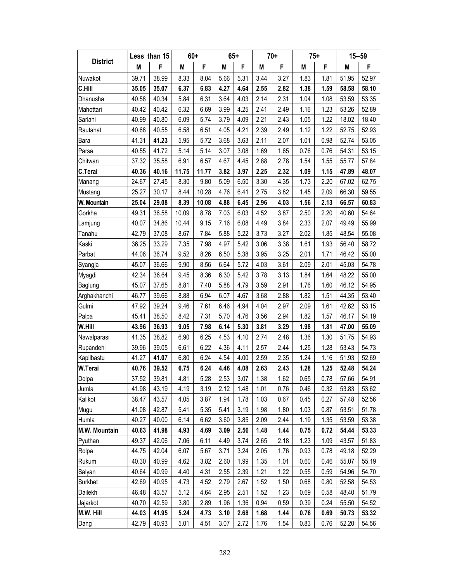|                      | Less than 15 |       | $60+$ |       | $65+$ |      | $70+$ |      | $75+$ |      | $15 - 59$ |       |
|----------------------|--------------|-------|-------|-------|-------|------|-------|------|-------|------|-----------|-------|
| <b>District</b>      | M            | F     | M     | F     | M     | F    | M     | F    | M     | F    | M         | F     |
| Nuwakot              | 39.71        | 38.99 | 8.33  | 8.04  | 5.66  | 5.31 | 3.44  | 3.27 | 1.83  | 1.81 | 51.95     | 52.97 |
| C.Hill               | 35.05        | 35.07 | 6.37  | 6.83  | 4.27  | 4.64 | 2.55  | 2.82 | 1.38  | 1.59 | 58.58     | 58.10 |
| Dhanusha             | 40.58        | 40.34 | 5.84  | 6.31  | 3.64  | 4.03 | 2.14  | 2.31 | 1.04  | 1.08 | 53.59     | 53.35 |
| Mahottari            | 40.42        | 40.42 | 6.32  | 6.69  | 3.99  | 4.25 | 2.41  | 2.49 | 1.16  | 1.23 | 53.26     | 52.89 |
| Sarlahi              | 40.99        | 40.80 | 6.09  | 5.74  | 3.79  | 4.09 | 2.21  | 2.43 | 1.05  | 1.22 | 18.02     | 18.40 |
| Rautahat             | 40.68        | 40.55 | 6.58  | 6.51  | 4.05  | 4.21 | 2.39  | 2.49 | 1.12  | 1.22 | 52.75     | 52.93 |
| Bara                 | 41.31        | 41.23 | 5.95  | 5.72  | 3.68  | 3.63 | 2.11  | 2.07 | 1.01  | 0.98 | 52.74     | 53.05 |
| Parsa                | 40.55        | 41.72 | 5.14  | 5.14  | 3.07  | 3.08 | 1.69  | 1.65 | 0.76  | 0.76 | 54.31     | 53.15 |
| Chitwan              | 37.32        | 35.58 | 6.91  | 6.57  | 4.67  | 4.45 | 2.88  | 2.78 | 1.54  | 1.55 | 55.77     | 57.84 |
| C.Terai              | 40.36        | 40.16 | 11.75 | 11.77 | 3.82  | 3.97 | 2.25  | 2.32 | 1.09  | 1.15 | 47.89     | 48.07 |
| Manang               | 24.67        | 27.45 | 8.30  | 9.80  | 5.09  | 6.50 | 3.30  | 4.35 | 1.73  | 2.20 | 67.02     | 62.75 |
| Mustang              | 25.27        | 30.17 | 8.44  | 10.28 | 4.76  | 6.41 | 2.75  | 3.82 | 1.45  | 2.09 | 66.30     | 59.55 |
| W. Mountain          | 25.04        | 29.08 | 8.39  | 10.08 | 4.88  | 6.45 | 2.96  | 4.03 | 1.56  | 2.13 | 66.57     | 60.83 |
| Gorkha               | 49.31        | 36.58 | 10.09 | 8.78  | 7.03  | 6.03 | 4.52  | 3.87 | 2.50  | 2.20 | 40.60     | 54.64 |
| Lamjung              | 40.07        | 34.86 | 10.44 | 9.15  | 7.16  | 6.08 | 4.49  | 3.84 | 2.33  | 2.07 | 49.49     | 55.99 |
| Tanahu               | 42.79        | 37.08 | 8.67  | 7.84  | 5.88  | 5.22 | 3.73  | 3.27 | 2.02  | 1.85 | 48.54     | 55.08 |
| Kaski                | 36.25        | 33.29 | 7.35  | 7.98  | 4.97  | 5.42 | 3.06  | 3.38 | 1.61  | 1.93 | 56.40     | 58.72 |
| Parbat               | 44.06        | 36.74 | 9.52  | 8.26  | 6.50  | 5.38 | 3.95  | 3.25 | 2.01  | 1.71 | 46.42     | 55.00 |
| Syangja              | 45.07        | 36.66 | 9.90  | 8.56  | 6.64  | 5.72 | 4.03  | 3.61 | 2.09  | 2.01 | 45.03     | 54.78 |
| Myagdi               | 42.34        | 36.64 | 9.45  | 8.36  | 6.30  | 5.42 | 3.78  | 3.13 | 1.84  | 1.64 | 48.22     | 55.00 |
| Baglung              | 45.07        | 37.65 | 8.81  | 7.40  | 5.88  | 4.79 | 3.59  | 2.91 | 1.76  | 1.60 | 46.12     | 54.95 |
| Arghakhanchi         | 46.77        | 39.66 | 8.88  | 6.94  | 6.07  | 4.67 | 3.68  | 2.88 | 1.82  | 1.51 | 44.35     | 53.40 |
| Gulmi                | 47.92        | 39.24 | 9.46  | 7.61  | 6.46  | 4.94 | 4.04  | 2.97 | 2.09  | 1.61 | 42.62     | 53.15 |
| Palpa                | 45.41        | 38.50 | 8.42  | 7.31  | 5.70  | 4.76 | 3.56  | 2.94 | 1.82  | 1.57 | 46.17     | 54.19 |
| W.Hill               | 43.96        | 36.93 | 9.05  | 7.98  | 6.14  | 5.30 | 3.81  | 3.29 | 1.98  | 1.81 | 47.00     | 55.09 |
| Nawalparasi          | 41.35        | 38.82 | 6.90  | 6.25  | 4.53  | 4.10 | 2.74  | 2.48 | 1.36  | 1.30 | 51.75     | 54.93 |
| Rupandehi            | 39.96        | 39.05 | 6.61  | 6.22  | 4.36  | 4.11 | 2.57  | 2.44 | 1.25  | 1.28 | 53.43     | 54.73 |
| Kapilbastu           | 41.27        | 41.07 | 6.80  | 6.24  | 4.54  | 4.00 | 2.59  | 2.35 | 1.24  | 1.16 | 51.93     | 52.69 |
| W.Terai              | 40.76        | 39.52 | 6.75  | 6.24  | 4.46  | 4.08 | 2.63  | 2.43 | 1.28  | 1.25 | 52.48     | 54.24 |
| Dolpa                | 37.52        | 39.81 | 4.81  | 5.28  | 2.53  | 3.07 | 1.38  | 1.62 | 0.65  | 0.78 | 57.66     | 54.91 |
| Jumla                | 41.98        | 43.19 | 4.19  | 3.19  | 2.12  | 1.48 | 1.01  | 0.76 | 0.46  | 0.32 | 53.83     | 53.62 |
| Kalikot              | 38.47        | 43.57 | 4.05  | 3.87  | 1.94  | 1.78 | 1.03  | 0.67 | 0.45  | 0.27 | 57.48     | 52.56 |
| Mugu                 | 41.08        | 42.87 | 5.41  | 5.35  | 5.41  | 3.19 | 1.98  | 1.80 | 1.03  | 0.87 | 53.51     | 51.78 |
| Humla                | 40.27        | 40.00 | 6.14  | 6.62  | 3.60  | 3.85 | 2.09  | 2.44 | 1.19  | 1.35 | 53.59     | 53.38 |
| <b>M.W. Mountain</b> | 40.63        | 41.98 | 4.93  | 4.69  | 3.09  | 2.56 | 1.48  | 1.44 | 0.75  | 0.72 | 54.44     | 53.33 |
| Pyuthan              | 49.37        | 42.06 | 7.06  | 6.11  | 4.49  | 3.74 | 2.65  | 2.18 | 1.23  | 1.09 | 43.57     | 51.83 |
| Rolpa                | 44.75        | 42.04 | 6.07  | 5.67  | 3.71  | 3.24 | 2.05  | 1.76 | 0.93  | 0.78 | 49.18     | 52.29 |
| Rukum                | 40.30        | 40.99 | 4.62  | 3.82  | 2.60  | 1.99 | 1.35  | 1.01 | 0.60  | 0.46 | 55.07     | 55.19 |
| Salyan               | 40.64        | 40.99 | 4.40  | 4.31  | 2.55  | 2.39 | 1.21  | 1.22 | 0.55  | 0.59 | 54.96     | 54.70 |
| Surkhet              | 42.69        | 40.95 | 4.73  | 4.52  | 2.79  | 2.67 | 1.52  | 1.50 | 0.68  | 0.80 | 52.58     | 54.53 |
| Dailekh              | 46.48        | 43.57 | 5.12  | 4.64  | 2.95  | 2.51 | 1.52  | 1.23 | 0.69  | 0.58 | 48.40     | 51.79 |
| Jajarkot             | 40.70        | 42.59 | 3.80  | 2.89  | 1.96  | 1.36 | 0.94  | 0.59 | 0.39  | 0.24 | 55.50     | 54.52 |
| M.W. Hill            | 44.03        | 41.95 | 5.24  | 4.73  | 3.10  | 2.68 | 1.68  | 1.44 | 0.76  | 0.69 | 50.73     | 53.32 |
| Dang                 | 42.79        | 40.93 | 5.01  | 4.51  | 3.07  | 2.72 | 1.76  | 1.54 | 0.83  | 0.76 | 52.20     | 54.56 |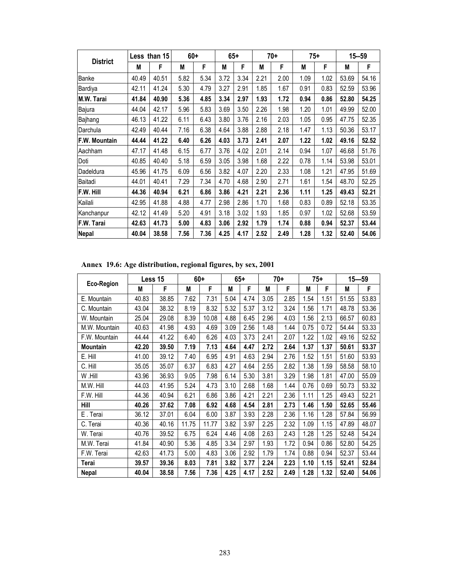| <b>District</b>  | Less than 15 |       | $60+$ |      | $65+$ |      | $70+$ |      | $75+$ |      | $15 - 59$ |       |
|------------------|--------------|-------|-------|------|-------|------|-------|------|-------|------|-----------|-------|
|                  | М            | F     | М     | F    | M     | F    | М     | F    | М     | F    | M         | F     |
| <b>Banke</b>     | 40.49        | 40.51 | 5.82  | 5.34 | 3.72  | 3.34 | 2.21  | 2.00 | 1.09  | 1.02 | 53.69     | 54.16 |
| Bardiya          | 42.11        | 41.24 | 5.30  | 4.79 | 3.27  | 2.91 | 1.85  | 1.67 | 0.91  | 0.83 | 52.59     | 53.96 |
| M.W. Tarai       | 41.84        | 40.90 | 5.36  | 4.85 | 3.34  | 2.97 | 1.93  | 1.72 | 0.94  | 0.86 | 52.80     | 54.25 |
| Bajura           | 44.04        | 42.17 | 5.96  | 5.83 | 3.69  | 3.50 | 2.26  | 1.98 | 1.20  | 1.01 | 49.99     | 52.00 |
| Bajhang          | 46.13        | 41.22 | 6.11  | 6.43 | 3.80  | 3.76 | 2.16  | 2.03 | 1.05  | 0.95 | 47.75     | 52.35 |
| Darchula         | 42.49        | 40.44 | 7.16  | 6.38 | 4.64  | 3.88 | 2.88  | 2.18 | 1.47  | 1.13 | 50.36     | 53.17 |
| F.W. Mountain    | 44.44        | 41.22 | 6.40  | 6.26 | 4.03  | 3.73 | 2.41  | 2.07 | 1.22  | 1.02 | 49.16     | 52.52 |
| Aachham          | 47.17        | 41.48 | 6.15  | 6.77 | 3.76  | 4.02 | 2.01  | 2.14 | 0.94  | 1.07 | 46.68     | 51.76 |
| Doti             | 40.85        | 40.40 | 5.18  | 6.59 | 3.05  | 3.98 | 1.68  | 2.22 | 0.78  | 1.14 | 53.98     | 53.01 |
| Dadeldura        | 45.96        | 41.75 | 6.09  | 6.56 | 3.82  | 4.07 | 2.20  | 2.33 | 1.08  | 1.21 | 47.95     | 51.69 |
| Baitadi          | 44.01        | 40.41 | 7.29  | 7.34 | 4.70  | 4.68 | 2.90  | 2.71 | 1.61  | 1.54 | 48.70     | 52.25 |
| <b>F.W. Hill</b> | 44.36        | 40.94 | 6.21  | 6.86 | 3.86  | 4.21 | 2.21  | 2.36 | 1.11  | 1.25 | 49.43     | 52.21 |
| Kailali          | 42.95        | 41.88 | 4.88  | 4.77 | 2.98  | 2.86 | 1.70  | 1.68 | 0.83  | 0.89 | 52.18     | 53.35 |
| Kanchanpur       | 42.12        | 41.49 | 5.20  | 4.91 | 3.18  | 3.02 | 1.93  | 1.85 | 0.97  | 1.02 | 52.68     | 53.59 |
| F.W. Tarai       | 42.63        | 41.73 | 5.00  | 4.83 | 3.06  | 2.92 | 1.79  | 1.74 | 0.88  | 0.94 | 52.37     | 53.44 |
| <b>Nepal</b>     | 40.04        | 38.58 | 7.56  | 7.36 | 4.25  | 4.17 | 2.52  | 2.49 | 1.28  | 1.32 | 52.40     | 54.06 |

**Annex 19.6: Age distribution, regional figures, by sex, 2001** 

| Eco-Region      | Less 15 |       | $60+$ |       | $65+$ |      | $70+$ |      | $75+$ |      | $15 - 59$ |       |
|-----------------|---------|-------|-------|-------|-------|------|-------|------|-------|------|-----------|-------|
|                 | M       | F     | М     | F     | M     | F    | М     | F    | М     | F    | M         | F     |
| E. Mountain     | 40.83   | 38.85 | 7.62  | 7.31  | 5.04  | 4.74 | 3.05  | 2.85 | 1.54  | 1.51 | 51.55     | 53.83 |
| C. Mountain     | 43.04   | 38.32 | 8.19  | 8.32  | 5.32  | 5.37 | 3.12  | 3.24 | 1.56  | 1.71 | 48.78     | 53.36 |
| W. Mountain     | 25.04   | 29.08 | 8.39  | 10.08 | 4.88  | 6.45 | 2.96  | 4.03 | 1.56  | 2.13 | 66.57     | 60.83 |
| M.W. Mountain   | 40.63   | 41.98 | 4.93  | 4.69  | 3.09  | 2.56 | 1.48  | 1.44 | 0.75  | 0.72 | 54.44     | 53.33 |
| F.W. Mountain   | 44.44   | 41.22 | 6.40  | 6.26  | 4.03  | 3.73 | 2.41  | 2.07 | 1.22  | 1.02 | 49.16     | 52.52 |
| <b>Mountain</b> | 42.20   | 39.50 | 7.19  | 7.13  | 4.64  | 4.47 | 2.72  | 2.64 | 1.37  | 1.37 | 50.61     | 53.37 |
| E. Hill         | 41.00   | 39.12 | 7.40  | 6.95  | 4.91  | 4.63 | 2.94  | 2.76 | 1.52  | 1.51 | 51.60     | 53.93 |
| C. Hill         | 35.05   | 35.07 | 6.37  | 6.83  | 4.27  | 4.64 | 2.55  | 2.82 | 1.38  | 1.59 | 58.58     | 58.10 |
| W.Hill          | 43.96   | 36.93 | 9.05  | 7.98  | 6.14  | 5.30 | 3.81  | 3.29 | 1.98  | 1.81 | 47.00     | 55.09 |
| M.W. Hill       | 44.03   | 41.95 | 5.24  | 4.73  | 3.10  | 2.68 | 1.68  | 1.44 | 0.76  | 0.69 | 50.73     | 53.32 |
| F.W. Hill       | 44.36   | 40.94 | 6.21  | 6.86  | 3.86  | 4.21 | 2.21  | 2.36 | 1.11  | 1.25 | 49.43     | 52.21 |
| Hill            | 40.26   | 37.62 | 7.08  | 6.92  | 4.68  | 4.54 | 2.81  | 2.73 | 1.46  | 1.50 | 52.65     | 55.46 |
| E. Terai        | 36.12   | 37.01 | 6.04  | 6.00  | 3.87  | 3.93 | 2.28  | 2.36 | 1.16  | 1.28 | 57.84     | 56.99 |
| C. Terai        | 40.36   | 40.16 | 11.75 | 11.77 | 3.82  | 3.97 | 2.25  | 2.32 | 1.09  | 1.15 | 47.89     | 48.07 |
| W. Terai        | 40.76   | 39.52 | 6.75  | 6.24  | 4.46  | 4.08 | 2.63  | 2.43 | 1.28  | 1.25 | 52.48     | 54.24 |
| M.W. Terai      | 41.84   | 40.90 | 5.36  | 4.85  | 3.34  | 2.97 | 1.93  | 1.72 | 0.94  | 0.86 | 52.80     | 54.25 |
| F.W. Terai      | 42.63   | 41.73 | 5.00  | 4.83  | 3.06  | 2.92 | 1.79  | 1.74 | 0.88  | 0.94 | 52.37     | 53.44 |
| Terai           | 39.57   | 39.36 | 8.03  | 7.81  | 3.82  | 3.77 | 2.24  | 2.23 | 1.10  | 1.15 | 52.41     | 52.84 |
| <b>Nepal</b>    | 40.04   | 38.58 | 7.56  | 7.36  | 4.25  | 4.17 | 2.52  | 2.49 | 1.28  | 1.32 | 52.40     | 54.06 |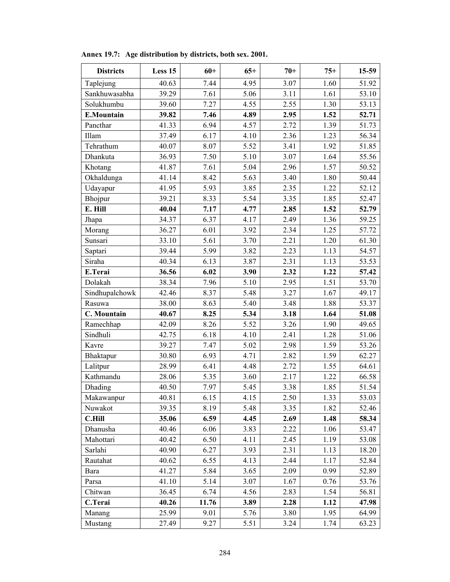| <b>Districts</b>  | Less 15 | $60+$ | $65+$ | $70+$ | $75+$ | 15-59 |
|-------------------|---------|-------|-------|-------|-------|-------|
| Taplejung         | 40.63   | 7.44  | 4.95  | 3.07  | 1.60  | 51.92 |
| Sankhuwasabha     | 39.29   | 7.61  | 5.06  | 3.11  | 1.61  | 53.10 |
| Solukhumbu        | 39.60   | 7.27  | 4.55  | 2.55  | 1.30  | 53.13 |
| <b>E.Mountain</b> | 39.82   | 7.46  | 4.89  | 2.95  | 1.52  | 52.71 |
| Pancthar          | 41.33   | 6.94  | 4.57  | 2.72  | 1.39  | 51.73 |
| Illam             | 37.49   | 6.17  | 4.10  | 2.36  | 1.23  | 56.34 |
| Tehrathum         | 40.07   | 8.07  | 5.52  | 3.41  | 1.92  | 51.85 |
| Dhankuta          | 36.93   | 7.50  | 5.10  | 3.07  | 1.64  | 55.56 |
| Khotang           | 41.87   | 7.61  | 5.04  | 2.96  | 1.57  | 50.52 |
| Okhaldunga        | 41.14   | 8.42  | 5.63  | 3.40  | 1.80  | 50.44 |
| Udayapur          | 41.95   | 5.93  | 3.85  | 2.35  | 1.22  | 52.12 |
| Bhojpur           | 39.21   | 8.33  | 5.54  | 3.35  | 1.85  | 52.47 |
| E. Hill           | 40.04   | 7.17  | 4.77  | 2.85  | 1.52  | 52.79 |
| Jhapa             | 34.37   | 6.37  | 4.17  | 2.49  | 1.36  | 59.25 |
| Morang            | 36.27   | 6.01  | 3.92  | 2.34  | 1.25  | 57.72 |
| Sunsari           | 33.10   | 5.61  | 3.70  | 2.21  | 1.20  | 61.30 |
| Saptari           | 39.44   | 5.99  | 3.82  | 2.23  | 1.13  | 54.57 |
| Siraha            | 40.34   | 6.13  | 3.87  | 2.31  | 1.13  | 53.53 |
| E.Terai           | 36.56   | 6.02  | 3.90  | 2.32  | 1.22  | 57.42 |
| Dolakah           | 38.34   | 7.96  | 5.10  | 2.95  | 1.51  | 53.70 |
| Sindhupalchowk    | 42.46   | 8.37  | 5.48  | 3.27  | 1.67  | 49.17 |
| Rasuwa            | 38.00   | 8.63  | 5.40  | 3.48  | 1.88  | 53.37 |
| C. Mountain       | 40.67   | 8.25  | 5.34  | 3.18  | 1.64  | 51.08 |
| Ramechhap         | 42.09   | 8.26  | 5.52  | 3.26  | 1.90  | 49.65 |
| Sindhuli          | 42.75   | 6.18  | 4.10  | 2.41  | 1.28  | 51.06 |
| Kavre             | 39.27   | 7.47  | 5.02  | 2.98  | 1.59  | 53.26 |
| Bhaktapur         | 30.80   | 6.93  | 4.71  | 2.82  | 1.59  | 62.27 |
| Lalitpur          | 28.99   | 6.41  | 4.48  | 2.72  | 1.55  | 64.61 |
| Kathmandu         | 28.06   | 5.35  | 3.60  | 2.17  | 1.22  | 66.58 |
| Dhading           | 40.50   | 7.97  | 5.45  | 3.38  | 1.85  | 51.54 |
| Makawanpur        | 40.81   | 6.15  | 4.15  | 2.50  | 1.33  | 53.03 |
| Nuwakot           | 39.35   | 8.19  | 5.48  | 3.35  | 1.82  | 52.46 |
| <b>C.Hill</b>     | 35.06   | 6.59  | 4.45  | 2.69  | 1.48  | 58.34 |
| Dhanusha          | 40.46   | 6.06  | 3.83  | 2.22  | 1.06  | 53.47 |
| Mahottari         | 40.42   | 6.50  | 4.11  | 2.45  | 1.19  | 53.08 |
| Sarlahi           | 40.90   | 6.27  | 3.93  | 2.31  | 1.13  | 18.20 |
| Rautahat          | 40.62   | 6.55  | 4.13  | 2.44  | 1.17  | 52.84 |
| Bara              | 41.27   | 5.84  | 3.65  | 2.09  | 0.99  | 52.89 |
| Parsa             | 41.10   | 5.14  | 3.07  | 1.67  | 0.76  | 53.76 |
| Chitwan           | 36.45   | 6.74  | 4.56  | 2.83  | 1.54  | 56.81 |
| C.Terai           | 40.26   | 11.76 | 3.89  | 2.28  | 1.12  | 47.98 |
| Manang            | 25.99   | 9.01  | 5.76  | 3.80  | 1.95  | 64.99 |
| Mustang           | 27.49   | 9.27  | 5.51  | 3.24  | 1.74  | 63.23 |

**Annex 19.7: Age distribution by districts, both sex. 2001.**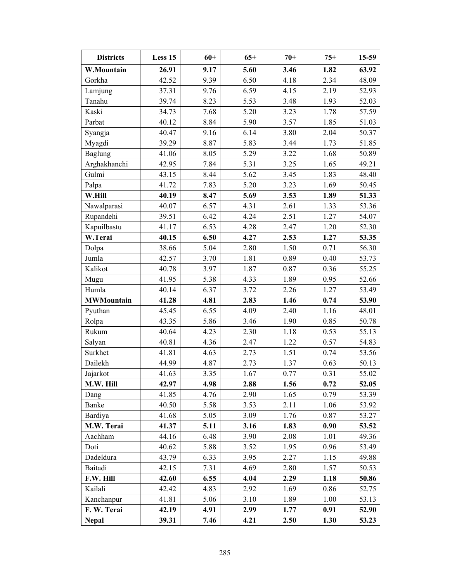| <b>Districts</b>  | Less 15 | $60+$ | $65+$ | $70+$ | $75+$ | $15-59$ |
|-------------------|---------|-------|-------|-------|-------|---------|
| W.Mountain        | 26.91   | 9.17  | 5.60  | 3.46  | 1.82  | 63.92   |
| Gorkha            | 42.52   | 9.39  | 6.50  | 4.18  | 2.34  | 48.09   |
| Lamjung           | 37.31   | 9.76  | 6.59  | 4.15  | 2.19  | 52.93   |
| Tanahu            | 39.74   | 8.23  | 5.53  | 3.48  | 1.93  | 52.03   |
| Kaski             | 34.73   | 7.68  | 5.20  | 3.23  | 1.78  | 57.59   |
| Parbat            | 40.12   | 8.84  | 5.90  | 3.57  | 1.85  | 51.03   |
| Syangja           | 40.47   | 9.16  | 6.14  | 3.80  | 2.04  | 50.37   |
| Myagdi            | 39.29   | 8.87  | 5.83  | 3.44  | 1.73  | 51.85   |
| <b>Baglung</b>    | 41.06   | 8.05  | 5.29  | 3.22  | 1.68  | 50.89   |
| Arghakhanchi      | 42.95   | 7.84  | 5.31  | 3.25  | 1.65  | 49.21   |
| Gulmi             | 43.15   | 8.44  | 5.62  | 3.45  | 1.83  | 48.40   |
| Palpa             | 41.72   | 7.83  | 5.20  | 3.23  | 1.69  | 50.45   |
| W.Hill            | 40.19   | 8.47  | 5.69  | 3.53  | 1.89  | 51.33   |
| Nawalparasi       | 40.07   | 6.57  | 4.31  | 2.61  | 1.33  | 53.36   |
| Rupandehi         | 39.51   | 6.42  | 4.24  | 2.51  | 1.27  | 54.07   |
| Kapuilbastu       | 41.17   | 6.53  | 4.28  | 2.47  | 1.20  | 52.30   |
| W.Terai           | 40.15   | 6.50  | 4.27  | 2.53  | 1.27  | 53.35   |
| Dolpa             | 38.66   | 5.04  | 2.80  | 1.50  | 0.71  | 56.30   |
| Jumla             | 42.57   | 3.70  | 1.81  | 0.89  | 0.40  | 53.73   |
| Kalikot           | 40.78   | 3.97  | 1.87  | 0.87  | 0.36  | 55.25   |
| Mugu              | 41.95   | 5.38  | 4.33  | 1.89  | 0.95  | 52.66   |
| Humla             | 40.14   | 6.37  | 3.72  | 2.26  | 1.27  | 53.49   |
| <b>MWMountain</b> | 41.28   | 4.81  | 2.83  | 1.46  | 0.74  | 53.90   |
| Pyuthan           | 45.45   | 6.55  | 4.09  | 2.40  | 1.16  | 48.01   |
| Rolpa             | 43.35   | 5.86  | 3.46  | 1.90  | 0.85  | 50.78   |
| Rukum             | 40.64   | 4.23  | 2.30  | 1.18  | 0.53  | 55.13   |
| Salyan            | 40.81   | 4.36  | 2.47  | 1.22  | 0.57  | 54.83   |
| Surkhet           | 41.81   | 4.63  | 2.73  | 1.51  | 0.74  | 53.56   |
| Dailekh           | 44.99   | 4.87  | 2.73  | 1.37  | 0.63  | 50.13   |
| Jajarkot          | 41.63   | 3.35  | 1.67  | 0.77  | 0.31  | 55.02   |
| M.W. Hill         | 42.97   | 4.98  | 2.88  | 1.56  | 0.72  | 52.05   |
| Dang              | 41.85   | 4.76  | 2.90  | 1.65  | 0.79  | 53.39   |
| Banke             | 40.50   | 5.58  | 3.53  | 2.11  | 1.06  | 53.92   |
| Bardiya           | 41.68   | 5.05  | 3.09  | 1.76  | 0.87  | 53.27   |
| M.W. Terai        | 41.37   | 5.11  | 3.16  | 1.83  | 0.90  | 53.52   |
| Aachham           | 44.16   | 6.48  | 3.90  | 2.08  | 1.01  | 49.36   |
| Doti              | 40.62   | 5.88  | 3.52  | 1.95  | 0.96  | 53.49   |
| Dadeldura         | 43.79   | 6.33  | 3.95  | 2.27  | 1.15  | 49.88   |
| Baitadi           | 42.15   | 7.31  | 4.69  | 2.80  | 1.57  | 50.53   |
| F.W. Hill         | 42.60   | 6.55  | 4.04  | 2.29  | 1.18  | 50.86   |
| Kailali           | 42.42   | 4.83  | 2.92  | 1.69  | 0.86  | 52.75   |
| Kanchanpur        | 41.81   | 5.06  | 3.10  | 1.89  | 1.00  | 53.13   |
| F. W. Terai       | 42.19   | 4.91  | 2.99  | 1.77  | 0.91  | 52.90   |
| <b>Nepal</b>      | 39.31   | 7.46  | 4.21  | 2.50  | 1.30  | 53.23   |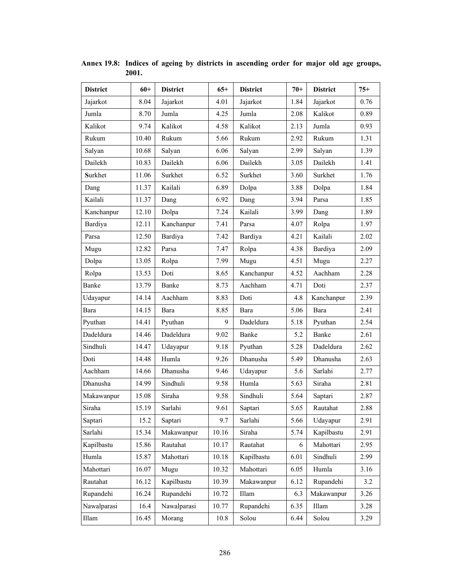| <b>District</b> | $60+$ | <b>District</b> | $65+$ | <b>District</b> | $70+$ | <b>District</b> | $75+$ |
|-----------------|-------|-----------------|-------|-----------------|-------|-----------------|-------|
| Jajarkot        | 8.04  | Jajarkot        | 4.01  | Jajarkot        | 1.84  | Jajarkot        | 0.76  |
| Jumla           | 8.70  | Jumla           | 4.25  | Jumla           | 2.08  | Kalikot         | 0.89  |
| Kalikot         | 9.74  | Kalikot         | 4.58  | Kalikot         | 2.13  | Jumla           | 0.93  |
| Rukum           | 10.40 | Rukum           | 5.66  | Rukum           | 2.92  | Rukum           | 1.31  |
| Salyan          | 10.68 | Salyan          | 6.06  | Salyan          | 2.99  | Salyan          | 1.39  |
| Dailekh         | 10.83 | Dailekh         | 6.06  | Dailekh         | 3.05  | Dailekh         | 1.41  |
| Surkhet         | 11.06 | Surkhet         | 6.52  | Surkhet         | 3.60  | Surkhet         | 1.76  |
| Dang            | 11.37 | Kailali         | 6.89  | Dolpa           | 3.88  | Dolpa           | 1.84  |
| Kailali         | 11.37 | Dang            | 6.92  | Dang            | 3.94  | Parsa           | 1.85  |
| Kanchanpur      | 12.10 | Dolpa           | 7.24  | Kailali         | 3.99  | Dang            | 1.89  |
| Bardiya         | 12.11 | Kanchanpur      | 7.41  | Parsa           | 4.07  | Rolpa           | 1.97  |
| Parsa           | 12.50 | Bardiya         | 7.42  | Bardiya         | 4.21  | Kailali         | 2.02  |
| Mugu            | 12.82 | Parsa           | 7.47  | Rolpa           | 4.38  | Bardiya         | 2.09  |
| Dolpa           | 13.05 | Rolpa           | 7.99  | Mugu            | 4.51  | Mugu            | 2.27  |
| Rolpa           | 13.53 | Doti            | 8.65  | Kanchanpur      | 4.52  | Aachham         | 2.28  |
| Banke           | 13.79 | Banke           | 8.73  | Aachham         | 4.71  | Doti            | 2.37  |
| Udayapur        | 14.14 | Aachham         | 8.83  | Doti            | 4.8   | Kanchanpur      | 2.39  |
| Bara            | 14.15 | Bara            | 8.85  | Bara            | 5.06  | Bara            | 2.41  |
| Pyuthan         | 14.41 | Pyuthan         | 9     | Dadeldura       | 5.18  | Pyuthan         | 2.54  |
| Dadeldura       | 14.46 | Dadeldura       | 9.02  | Banke           | 5.2   | Banke           | 2.61  |
| Sindhuli        | 14.47 | Udayapur        | 9.18  | Pyuthan         | 5.28  | Dadeldura       | 2.62  |
| Doti            | 14.48 | Humla           | 9.26  | Dhanusha        | 5.49  | Dhanusha        | 2.63  |
| Aachham         | 14.66 | Dhanusha        | 9.46  | Udayapur        | 5.6   | Sarlahi         | 2.77  |
| Dhanusha        | 14.99 | Sindhuli        | 9.58  | Humla           | 5.63  | Siraha          | 2.81  |
| Makawanpur      | 15.08 | Siraha          | 9.58  | Sindhuli        | 5.64  | Saptari         | 2.87  |
| Siraha          | 15.19 | Sarlahi         | 9.61  | Saptari         | 5.65  | Rautahat        | 2.88  |
| Saptari         | 15.2  | Saptari         | 9.7   | Sarlahi         | 5.66  | Udayapur        | 2.91  |
| Sarlahi         | 15.34 | Makawanpur      | 10.16 | Siraha          | 5.74  | Kapilbastu      | 2.91  |
| Kapilbastu      | 15.86 | Rautahat        | 10.17 | Rautahat        | 6     | Mahottari       | 2.95  |
| Humla           | 15.87 | Mahottari       | 10.18 | Kapilbastu      | 6.01  | Sindhuli        | 2.99  |
| Mahottari       | 16.07 | Mugu            | 10.32 | Mahottari       | 6.05  | Humla           | 3.16  |
| Rautahat        | 16.12 | Kapilbastu      | 10.39 | Makawanpur      | 6.12  | Rupandehi       | 3.2   |
| Rupandehi       | 16.24 | Rupandehi       | 10.72 | Illam           | 6.3   | Makawanpur      | 3.26  |
| Nawalparasi     | 16.4  | Nawalparasi     | 10.77 | Rupandehi       | 6.35  | Illam           | 3.28  |
| Illam           | 16.45 | Morang          | 10.8  | Solou           | 6.44  | Solou           | 3.29  |

**Annex 19.8: Indices of ageing by districts in ascending order for major old age groups, 2001.**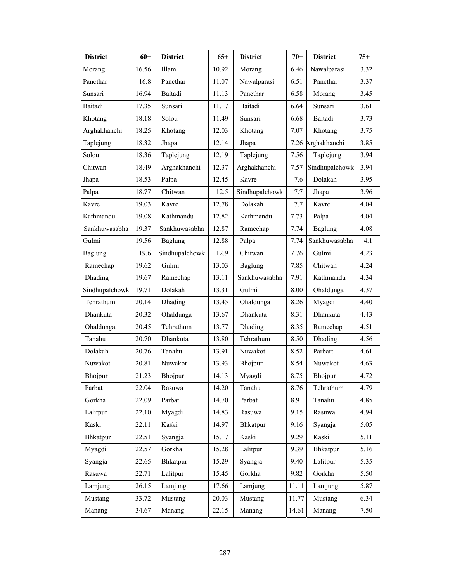| <b>District</b> | $60+$ | <b>District</b> | $65+$ | <b>District</b> | $70+$ | <b>District</b>   | $75+$ |
|-----------------|-------|-----------------|-------|-----------------|-------|-------------------|-------|
| Morang          | 16.56 | Illam           | 10.92 | Morang          | 6.46  | Nawalparasi       | 3.32  |
| Pancthar        | 16.8  | Pancthar        | 11.07 | Nawalparasi     | 6.51  | Pancthar          | 3.37  |
| Sunsari         | 16.94 | Baitadi         | 11.13 | Pancthar        | 6.58  | Morang            | 3.45  |
| Baitadi         | 17.35 | Sunsari         | 11.17 | Baitadi         | 6.64  | Sunsari           | 3.61  |
| Khotang         | 18.18 | Solou           | 11.49 | Sunsari         | 6.68  | Baitadi           | 3.73  |
| Arghakhanchi    | 18.25 | Khotang         | 12.03 | Khotang         | 7.07  | Khotang           | 3.75  |
| Taplejung       | 18.32 | Jhapa           | 12.14 | Jhapa           |       | 7.26 Arghakhanchi | 3.85  |
| Solou           | 18.36 | Taplejung       | 12.19 | Taplejung       | 7.56  | Taplejung         | 3.94  |
| Chitwan         | 18.49 | Arghakhanchi    | 12.37 | Arghakhanchi    | 7.57  | Sindhupalchowk    | 3.94  |
| Jhapa           | 18.53 | Palpa           | 12.45 | Kavre           | 7.6   | Dolakah           | 3.95  |
| Palpa           | 18.77 | Chitwan         | 12.5  | Sindhupalchowk  | 7.7   | Jhapa             | 3.96  |
| Kavre           | 19.03 | Kavre           | 12.78 | Dolakah         | 7.7   | Kavre             | 4.04  |
| Kathmandu       | 19.08 | Kathmandu       | 12.82 | Kathmandu       | 7.73  | Palpa             | 4.04  |
| Sankhuwasabha   | 19.37 | Sankhuwasabha   | 12.87 | Ramechap        | 7.74  | <b>Baglung</b>    | 4.08  |
| Gulmi           | 19.56 | <b>Baglung</b>  | 12.88 | Palpa           | 7.74  | Sankhuwasabha     | 4.1   |
| Baglung         | 19.6  | Sindhupalchowk  | 12.9  | Chitwan         | 7.76  | Gulmi             | 4.23  |
| Ramechap        | 19.62 | Gulmi           | 13.03 | Baglung         | 7.85  | Chitwan           | 4.24  |
| Dhading         | 19.67 | Ramechap        | 13.11 | Sankhuwasabha   | 7.91  | Kathmandu         | 4.34  |
| Sindhupalchowk  | 19.71 | Dolakah         | 13.31 | Gulmi           | 8.00  | Ohaldunga         | 4.37  |
| Tehrathum       | 20.14 | Dhading         | 13.45 | Ohaldunga       | 8.26  | Myagdi            | 4.40  |
| Dhankuta        | 20.32 | Ohaldunga       | 13.67 | Dhankuta        | 8.31  | Dhankuta          | 4.43  |
| Ohaldunga       | 20.45 | Tehrathum       | 13.77 | Dhading         | 8.35  | Ramechap          | 4.51  |
| Tanahu          | 20.70 | Dhankuta        | 13.80 | Tehrathum       | 8.50  | Dhading           | 4.56  |
| Dolakah         | 20.76 | Tanahu          | 13.91 | Nuwakot         | 8.52  | Parbart           | 4.61  |
| Nuwakot         | 20.81 | Nuwakot         | 13.93 | Bhojpur         | 8.54  | Nuwakot           | 4.63  |
| <b>Bhojpur</b>  | 21.23 | <b>Bhojpur</b>  | 14.13 | Myagdi          | 8.75  | <b>Bhojpur</b>    | 4.72  |
| Parbat          | 22.04 | Rasuwa          | 14.20 | Tanahu          | 8.76  | Tehrathum         | 4.79  |
| Gorkha          | 22.09 | Parbat          | 14.70 | Parbat          | 8.91  | Tanahu            | 4.85  |
| Lalitpur        | 22.10 | Myagdi          | 14.83 | Rasuwa          | 9.15  | Rasuwa            | 4.94  |
| Kaski           | 22.11 | Kaski           | 14.97 | Bhkatpur        | 9.16  | Syangja           | 5.05  |
| Bhkatpur        | 22.51 | Syangja         | 15.17 | Kaski           | 9.29  | Kaski             | 5.11  |
| Myagdi          | 22.57 | Gorkha          | 15.28 | Lalitpur        | 9.39  | Bhkatpur          | 5.16  |
| Syangja         | 22.65 | Bhkatpur        | 15.29 | Syangja         | 9.40  | Lalitpur          | 5.35  |
| Rasuwa          | 22.71 | Lalitpur        | 15.45 | Gorkha          | 9.82  | Gorkha            | 5.50  |
| Lamjung         | 26.15 | Lamjung         | 17.66 | Lamjung         | 11.11 | Lamjung           | 5.87  |
| Mustang         | 33.72 | Mustang         | 20.03 | Mustang         | 11.77 | Mustang           | 6.34  |
| Manang          | 34.67 | Manang          | 22.15 | Manang          | 14.61 | Manang            | 7.50  |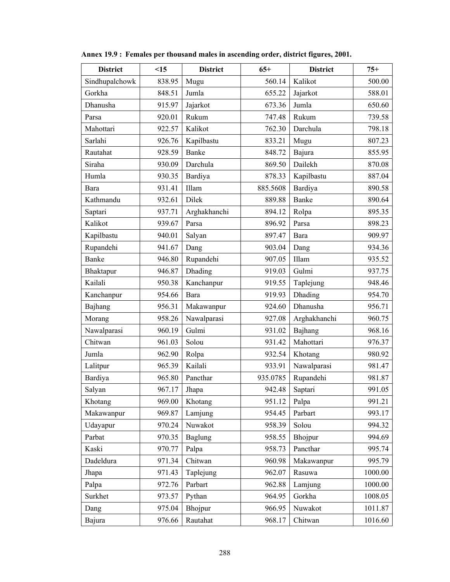| <b>District</b> | <15    | <b>District</b> | $65+$    | <b>District</b> | $75+$   |
|-----------------|--------|-----------------|----------|-----------------|---------|
| Sindhupalchowk  | 838.95 | Mugu            | 560.14   | Kalikot         | 500.00  |
| Gorkha          | 848.51 | Jumla           | 655.22   | Jajarkot        | 588.01  |
| Dhanusha        | 915.97 | Jajarkot        | 673.36   | Jumla           | 650.60  |
| Parsa           | 920.01 | Rukum           | 747.48   | Rukum           | 739.58  |
| Mahottari       | 922.57 | Kalikot         | 762.30   | Darchula        | 798.18  |
| Sarlahi         | 926.76 | Kapilbastu      | 833.21   | Mugu            | 807.23  |
| Rautahat        | 928.59 | Banke           | 848.72   | Bajura          | 855.95  |
| Siraha          | 930.09 | Darchula        | 869.50   | Dailekh         | 870.08  |
| Humla           | 930.35 | Bardiya         | 878.33   | Kapilbastu      | 887.04  |
| Bara            | 931.41 | Illam           | 885.5608 | Bardiya         | 890.58  |
| Kathmandu       | 932.61 | Dilek           | 889.88   | Banke           | 890.64  |
| Saptari         | 937.71 | Arghakhanchi    | 894.12   | Rolpa           | 895.35  |
| Kalikot         | 939.67 | Parsa           | 896.92   | Parsa           | 898.23  |
| Kapilbastu      | 940.01 | Salyan          | 897.47   | Bara            | 909.97  |
| Rupandehi       | 941.67 | Dang            | 903.04   | Dang            | 934.36  |
| <b>Banke</b>    | 946.80 | Rupandehi       | 907.05   | Illam           | 935.52  |
| Bhaktapur       | 946.87 | Dhading         | 919.03   | Gulmi           | 937.75  |
| Kailali         | 950.38 | Kanchanpur      | 919.55   | Taplejung       | 948.46  |
| Kanchanpur      | 954.66 | Bara            | 919.93   | Dhading         | 954.70  |
| Bajhang         | 956.31 | Makawanpur      | 924.60   | Dhanusha        | 956.71  |
| Morang          | 958.26 | Nawalparasi     | 927.08   | Arghakhanchi    | 960.75  |
| Nawalparasi     | 960.19 | Gulmi           | 931.02   | Bajhang         | 968.16  |
| Chitwan         | 961.03 | Solou           | 931.42   | Mahottari       | 976.37  |
| Jumla           | 962.90 | Rolpa           | 932.54   | Khotang         | 980.92  |
| Lalitpur        | 965.39 | Kailali         | 933.91   | Nawalparasi     | 981.47  |
| Bardiya         | 965.80 | Pancthar        | 935.0785 | Rupandehi       | 981.87  |
| Salyan          | 967.17 | Jhapa           | 942.48   | Saptari         | 991.05  |
| Khotang         | 969.00 | Khotang         | 951.12   | Palpa           | 991.21  |
| Makawanpur      | 969.87 | Lamjung         | 954.45   | Parbart         | 993.17  |
| Udayapur        | 970.24 | Nuwakot         | 958.39   | Solou           | 994.32  |
| Parbat          | 970.35 | <b>Baglung</b>  | 958.55   | Bhojpur         | 994.69  |
| Kaski           | 970.77 | Palpa           | 958.73   | Pancthar        | 995.74  |
| Dadeldura       | 971.34 | Chitwan         | 960.98   | Makawanpur      | 995.79  |
| Jhapa           | 971.43 | Taplejung       | 962.07   | Rasuwa          | 1000.00 |
| Palpa           | 972.76 | Parbart         | 962.88   | Lamjung         | 1000.00 |
| Surkhet         | 973.57 | Pythan          | 964.95   | Gorkha          | 1008.05 |
| Dang            | 975.04 | Bhojpur         | 966.95   | Nuwakot         | 1011.87 |
| Bajura          | 976.66 | Rautahat        | 968.17   | Chitwan         | 1016.60 |

**Annex 19.9 : Females per thousand males in ascending order, district figures, 2001.**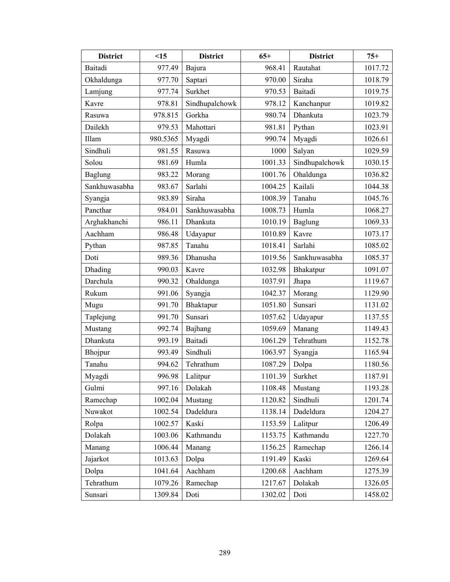| <b>District</b> | <15      | <b>District</b> | $65+$   | <b>District</b> | $75+$   |
|-----------------|----------|-----------------|---------|-----------------|---------|
| Baitadi         | 977.49   | Bajura          | 968.41  | Rautahat        | 1017.72 |
| Okhaldunga      | 977.70   | Saptari         | 970.00  | Siraha          | 1018.79 |
| Lamjung         | 977.74   | Surkhet         | 970.53  | <b>Baitadi</b>  | 1019.75 |
| Kavre           | 978.81   | Sindhupalchowk  | 978.12  | Kanchanpur      | 1019.82 |
| Rasuwa          | 978.815  | Gorkha          | 980.74  | Dhankuta        | 1023.79 |
| Dailekh         | 979.53   | Mahottari       | 981.81  | Pythan          | 1023.91 |
| Illam           | 980.5365 | Myagdi          | 990.74  | Myagdi          | 1026.61 |
| Sindhuli        | 981.55   | Rasuwa          | 1000    | Salyan          | 1029.59 |
| Solou           | 981.69   | Humla           | 1001.33 | Sindhupalchowk  | 1030.15 |
| <b>Baglung</b>  | 983.22   | Morang          | 1001.76 | Ohaldunga       | 1036.82 |
| Sankhuwasabha   | 983.67   | Sarlahi         | 1004.25 | Kailali         | 1044.38 |
| Syangja         | 983.89   | Siraha          | 1008.39 | Tanahu          | 1045.76 |
| Pancthar        | 984.01   | Sankhuwasabha   | 1008.73 | Humla           | 1068.27 |
| Arghakhanchi    | 986.11   | Dhankuta        | 1010.19 | <b>Baglung</b>  | 1069.33 |
| Aachham         | 986.48   | Udayapur        | 1010.89 | Kavre           | 1073.17 |
| Pythan          | 987.85   | Tanahu          | 1018.41 | Sarlahi         | 1085.02 |
| Doti            | 989.36   | Dhanusha        | 1019.56 | Sankhuwasabha   | 1085.37 |
| Dhading         | 990.03   | Kavre           | 1032.98 | Bhakatpur       | 1091.07 |
| Darchula        | 990.32   | Ohaldunga       | 1037.91 | Jhapa           | 1119.67 |
| Rukum           | 991.06   | Syangja         | 1042.37 | Morang          | 1129.90 |
| Mugu            | 991.70   | Bhaktapur       | 1051.80 | Sunsari         | 1131.02 |
| Taplejung       | 991.70   | Sunsari         | 1057.62 | Udayapur        | 1137.55 |
| Mustang         | 992.74   | Bajhang         | 1059.69 | Manang          | 1149.43 |
| Dhankuta        | 993.19   | Baitadi         | 1061.29 | Tehrathum       | 1152.78 |
| Bhojpur         | 993.49   | Sindhuli        | 1063.97 | Syangja         | 1165.94 |
| Tanahu          | 994.62   | Tehrathum       | 1087.29 | Dolpa           | 1180.56 |
| Myagdi          | 996.98   | Lalitpur        | 1101.39 | Surkhet         | 1187.91 |
| Gulmi           | 997.16   | Dolakah         | 1108.48 | Mustang         | 1193.28 |
| Ramechap        | 1002.04  | Mustang         | 1120.82 | Sindhuli        | 1201.74 |
| Nuwakot         | 1002.54  | Dadeldura       | 1138.14 | Dadeldura       | 1204.27 |
| Rolpa           | 1002.57  | Kaski           | 1153.59 | Lalitpur        | 1206.49 |
| Dolakah         | 1003.06  | Kathmandu       | 1153.75 | Kathmandu       | 1227.70 |
| Manang          | 1006.44  | Manang          | 1156.25 | Ramechap        | 1266.14 |
| Jajarkot        | 1013.63  | Dolpa           | 1191.49 | Kaski           | 1269.64 |
| Dolpa           | 1041.64  | Aachham         | 1200.68 | Aachham         | 1275.39 |
| Tehrathum       | 1079.26  | Ramechap        | 1217.67 | Dolakah         | 1326.05 |
| Sunsari         | 1309.84  | Doti            | 1302.02 | Doti            | 1458.02 |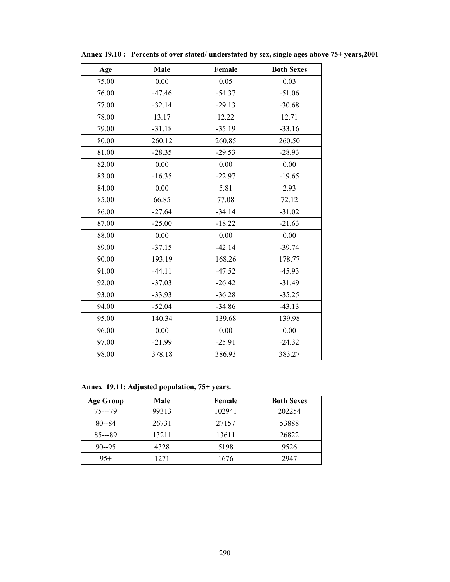| Age   | Male     | Female   | <b>Both Sexes</b> |
|-------|----------|----------|-------------------|
| 75.00 | 0.00     | 0.05     | 0.03              |
| 76.00 | $-47.46$ | $-54.37$ | $-51.06$          |
| 77.00 | $-32.14$ | $-29.13$ | $-30.68$          |
| 78.00 | 13.17    | 12.22    | 12.71             |
| 79.00 | $-31.18$ | $-35.19$ | $-33.16$          |
| 80.00 | 260.12   | 260.85   | 260.50            |
| 81.00 | $-28.35$ | $-29.53$ | $-28.93$          |
| 82.00 | 0.00     | 0.00     | 0.00              |
| 83.00 | $-16.35$ | $-22.97$ | $-19.65$          |
| 84.00 | 0.00     | 5.81     | 2.93              |
| 85.00 | 66.85    | 77.08    | 72.12             |
| 86.00 | $-27.64$ | $-34.14$ | $-31.02$          |
| 87.00 | $-25.00$ | $-18.22$ | $-21.63$          |
| 88.00 | 0.00     | 0.00     | 0.00              |
| 89.00 | $-37.15$ | $-42.14$ | $-39.74$          |
| 90.00 | 193.19   | 168.26   | 178.77            |
| 91.00 | $-44.11$ | $-47.52$ | $-45.93$          |
| 92.00 | $-37.03$ | $-26.42$ | $-31.49$          |
| 93.00 | $-33.93$ | $-36.28$ | $-35.25$          |
| 94.00 | $-52.04$ | $-34.86$ | $-43.13$          |
| 95.00 | 140.34   | 139.68   | 139.98            |
| 96.00 | 0.00     | 0.00     | 0.00              |
| 97.00 | $-21.99$ | $-25.91$ | $-24.32$          |
| 98.00 | 378.18   | 386.93   | 383.27            |

**Annex 19.10 : Percents of over stated/ understated by sex, single ages above 75+ years,2001** 

**Annex 19.11: Adjusted population, 75+ years.** 

| Age Group | Male  | Female | <b>Both Sexes</b> |
|-----------|-------|--------|-------------------|
| $75--79$  | 99313 | 102941 | 202254            |
| $80 - 84$ | 26731 | 27157  | 53888             |
| $85--89$  | 13211 | 13611  | 26822             |
| $90 - 95$ | 4328  | 5198   | 9526              |
| $95+$     | 1271  | 1676   | 2947              |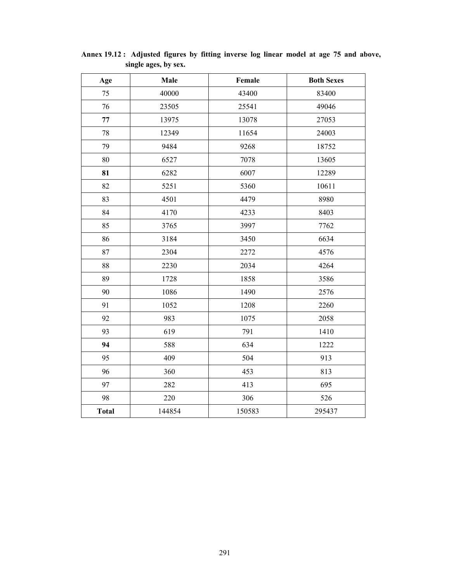| Age          | Male   | Female | <b>Both Sexes</b> |
|--------------|--------|--------|-------------------|
| 75           | 40000  | 43400  | 83400             |
| 76           | 23505  | 25541  | 49046             |
| 77           | 13975  | 13078  | 27053             |
| 78           | 12349  | 11654  | 24003             |
| 79           | 9484   | 9268   | 18752             |
| 80           | 6527   | 7078   | 13605             |
| 81           | 6282   | 6007   | 12289             |
| 82           | 5251   | 5360   | 10611             |
| 83           | 4501   | 4479   | 8980              |
| 84           | 4170   | 4233   | 8403              |
| 85           | 3765   | 3997   | 7762              |
| 86           | 3184   | 3450   | 6634              |
| 87           | 2304   | 2272   | 4576              |
| 88           | 2230   | 2034   | 4264              |
| 89           | 1728   | 1858   | 3586              |
| 90           | 1086   | 1490   | 2576              |
| 91           | 1052   | 1208   | 2260              |
| 92           | 983    | 1075   | 2058              |
| 93           | 619    | 791    | 1410              |
| 94           | 588    | 634    | 1222              |
| 95           | 409    | 504    | 913               |
| 96           | 360    | 453    | 813               |
| 97           | 282    | 413    | 695               |
| 98           | 220    | 306    | 526               |
| <b>Total</b> | 144854 | 150583 | 295437            |

**Annex 19.12 : Adjusted figures by fitting inverse log linear model at age 75 and above, single ages, by sex.**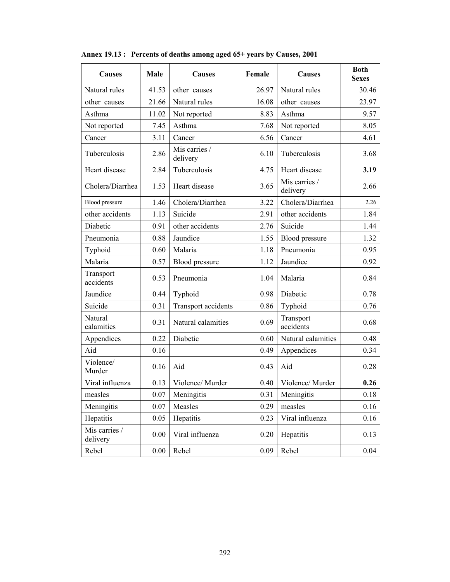| <b>Causes</b>             | Male  | <b>Causes</b>              | Female            | Causes                    | <b>Both</b><br><b>Sexes</b> |
|---------------------------|-------|----------------------------|-------------------|---------------------------|-----------------------------|
| Natural rules             | 41.53 | other causes               | 26.97             | Natural rules             | 30.46                       |
| other causes              | 21.66 | Natural rules              | 16.08             | other causes              | 23.97                       |
| Asthma                    | 11.02 | Not reported               | 8.83              | Asthma                    | 9.57                        |
| Not reported              | 7.45  | Asthma                     | 7.68              | Not reported              | 8.05                        |
| Cancer                    | 3.11  | Cancer                     | 6.56              | Cancer                    | 4.61                        |
| Tuberculosis              | 2.86  | Mis carries /<br>delivery  | 6.10              | Tuberculosis              | 3.68                        |
| Heart disease             | 2.84  | Tuberculosis               | 4.75              | Heart disease             | 3.19                        |
| Cholera/Diarrhea          | 1.53  | Heart disease              | 3.65              | Mis carries /<br>delivery | 2.66                        |
| <b>Blood</b> pressure     | 1.46  | Cholera/Diarrhea           | 3.22              | Cholera/Diarrhea          | 2.26                        |
| other accidents           | 1.13  | Suicide                    | 2.91              | other accidents           | 1.84                        |
| Diabetic                  | 0.91  | other accidents            | 2.76              | Suicide                   | 1.44                        |
| Pneumonia                 | 0.88  | Jaundice                   | 1.55              | Blood pressure            | 1.32                        |
| Typhoid                   | 0.60  | Malaria                    | 1.18              | Pneumonia                 | 0.95                        |
| Malaria                   | 0.57  | Blood pressure             | 1.12              | Jaundice                  | 0.92                        |
| Transport<br>accidents    | 0.53  | Pneumonia                  | 1.04              | Malaria                   | 0.84                        |
| Jaundice                  | 0.44  | Typhoid                    | 0.98              | Diabetic                  | 0.78                        |
| Suicide                   | 0.31  | <b>Transport</b> accidents | 0.86              | Typhoid                   | 0.76                        |
| Natural<br>calamities     | 0.31  | Natural calamities         | 0.69              | Transport<br>accidents    | 0.68                        |
| Appendices                | 0.22  | Diabetic                   | 0.60              | Natural calamities        | 0.48                        |
| Aid                       | 0.16  |                            | 0.49              | Appendices                | 0.34                        |
| Violence/<br>Murder       | 0.16  | Aid                        | 0.43              | Aid                       | 0.28                        |
| Viral influenza           | 0.13  | Violence/Murder            | 0.40              | Violence/Murder           | 0.26                        |
| measles                   | 0.07  | Meningitis                 | 0.31              | Meningitis                | 0.18                        |
| Meningitis                | 0.07  | Measles                    | 0.29              | measles                   | 0.16                        |
| Hepatitis                 | 0.05  | Hepatitis                  | 0.23              | Viral influenza           | 0.16                        |
| Mis carries /<br>delivery | 0.00  | Viral influenza            | Hepatitis<br>0.20 |                           | 0.13                        |
| Rebel                     | 0.00  | Rebel                      | 0.09              | Rebel                     | 0.04                        |

**Annex 19.13 : Percents of deaths among aged 65+ years by Causes, 2001**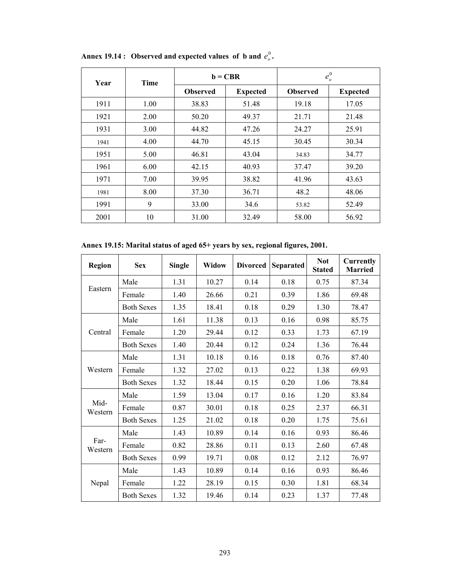| Year | <b>Time</b> |                 | $\mathbf{b} = \mathbf{C}\mathbf{B}\mathbf{R}$ | $e_o^0$         |                 |
|------|-------------|-----------------|-----------------------------------------------|-----------------|-----------------|
|      |             | <b>Observed</b> | <b>Expected</b>                               | <b>Observed</b> | <b>Expected</b> |
| 1911 | 1.00        | 38.83           | 51.48                                         | 19.18           | 17.05           |
| 1921 | 2.00        | 50.20           | 49.37                                         | 21.71           | 21.48           |
| 1931 | 3.00        | 44.82           | 47.26                                         | 24.27           | 25.91           |
| 1941 | 4.00        | 44.70           | 45.15                                         | 30.45           | 30.34           |
| 1951 | 5.00        | 46.81           | 43.04                                         | 34.83           | 34.77           |
| 1961 | 6.00        | 42.15           | 40.93                                         | 37.47           | 39.20           |
| 1971 | 7.00        | 39.95           | 38.82                                         | 41.96           | 43.63           |
| 1981 | 8.00        | 37.30           | 36.71                                         | 48.2            | 48.06           |
| 1991 | 9           | 33.00           | 34.6                                          | 53.82           | 52.49           |
| 2001 | 10          | 31.00           | 32.49                                         | 58.00           | 56.92           |

Annex 19.14 : Observed and expected values of b and  $e_o^0$ .

**Annex 19.15: Marital status of aged 65+ years by sex, regional figures, 2001.** 

| <b>Region</b>   | <b>Sex</b>        | <b>Single</b> | <b>Widow</b> | <b>Divorced</b> | <b>Separated</b> | <b>Not</b><br><b>Stated</b> | <b>Currently</b><br><b>Married</b> |
|-----------------|-------------------|---------------|--------------|-----------------|------------------|-----------------------------|------------------------------------|
|                 | Male              | 1.31          | 10.27        | 0.14            | 0.18             | 0.75                        | 87.34                              |
| Eastern         | Female            | 1.40          | 26.66        | 0.21            | 0.39             | 1.86                        | 69.48                              |
|                 | <b>Both Sexes</b> | 1.35          | 18.41        | 0.18            | 0.29             | 1.30                        | 78.47                              |
|                 | Male              | 1.61          | 11.38        | 0.13            | 0.16             | 0.98                        | 85.75                              |
| Central         | Female            | 1.20          | 29.44        | 0.12            | 0.33             | 1.73                        | 67.19                              |
|                 | <b>Both Sexes</b> | 1.40          | 20.44        | 0.12            | 0.24             | 1.36                        | 76.44                              |
|                 | Male              | 1.31          | 10.18        | 0.16            | 0.18             | 0.76                        | 87.40                              |
| Western         | Female            | 1.32          | 27.02        | 0.13            | 0.22             | 1.38                        | 69.93                              |
|                 | <b>Both Sexes</b> | 1.32          | 18.44        | 0.15            | 0.20             | 1.06                        | 78.84                              |
|                 | Male              | 1.59          | 13.04        | 0.17            | 0.16             | 1.20                        | 83.84                              |
| Mid-<br>Western | Female            | 0.87          | 30.01        | 0.18            | 0.25             | 2.37                        | 66.31                              |
|                 | <b>Both Sexes</b> | 1.25          | 21.02        | 0.18            | 0.20             | 1.75                        | 75.61                              |
|                 | Male              | 1.43          | 10.89        | 0.14            | 0.16             | 0.93                        | 86.46                              |
| Far-<br>Western | Female            | 0.82          | 28.86        | 0.11            | 0.13             | 2.60                        | 67.48                              |
|                 | <b>Both Sexes</b> | 0.99          | 19.71        | 0.08            | 0.12             | 2.12                        | 76.97                              |
|                 | Male              | 1.43          | 10.89        | 0.14            | 0.16             | 0.93                        | 86.46                              |
| Nepal           | Female            | 1.22          | 28.19        | 0.15            | 0.30             | 1.81                        | 68.34                              |
|                 | <b>Both Sexes</b> | 1.32          | 19.46        | 0.14            | 0.23             | 1.37                        | 77.48                              |